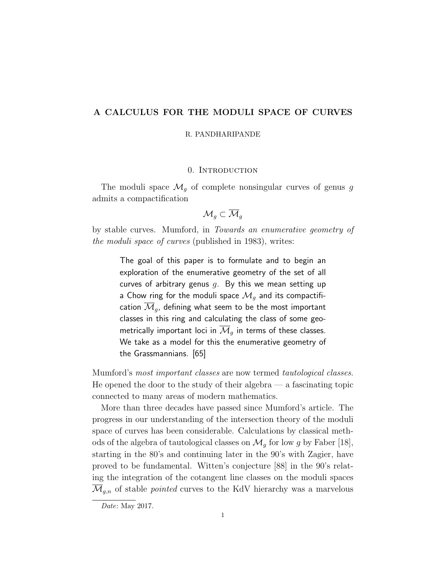# A CALCULUS FOR THE MODULI SPACE OF CURVES

R. PANDHARIPANDE

#### 0. Introduction

The moduli space  $\mathcal{M}_g$  of complete nonsingular curves of genus g admits a compactification

$$
\overline{\mathcal{M}}_g\subset \overline{\mathcal{M}}_g
$$

by stable curves. Mumford, in Towards an enumerative geometry of the moduli space of curves (published in 1983), writes:

> The goal of this paper is to formulate and to begin an exploration of the enumerative geometry of the set of all curves of arbitrary genus  $q$ . By this we mean setting up a Chow ring for the moduli space  $\mathcal{M}_q$  and its compactification  $\mathcal{M}_g$ , defining what seem to be the most important classes in this ring and calculating the class of some geometrically important loci in  $\mathcal{M}_q$  in terms of these classes. We take as a model for this the enumerative geometry of the Grassmannians. [65]

Mumford's most important classes are now termed tautological classes. He opened the door to the study of their algebra  $-$  a fascinating topic connected to many areas of modern mathematics.

More than three decades have passed since Mumford's article. The progress in our understanding of the intersection theory of the moduli space of curves has been considerable. Calculations by classical methods of the algebra of tautological classes on  $\mathcal{M}_g$  for low g by Faber [18], starting in the 80's and continuing later in the 90's with Zagier, have proved to be fundamental. Witten's conjecture [88] in the 90's relating the integration of the cotangent line classes on the moduli spaces  $\overline{\mathcal{M}}_{g,n}$  of stable *pointed* curves to the KdV hierarchy was a marvelous

Date: May 2017.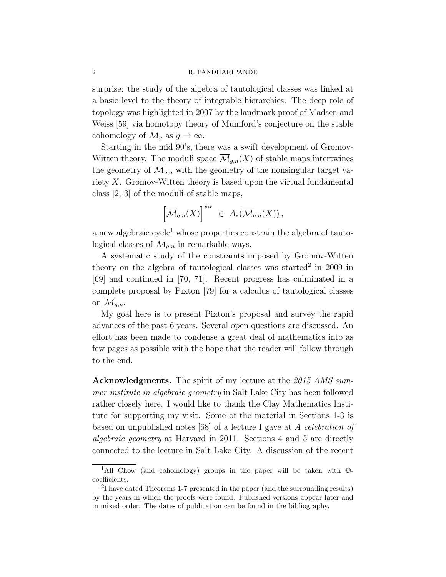surprise: the study of the algebra of tautological classes was linked at a basic level to the theory of integrable hierarchies. The deep role of topology was highlighted in 2007 by the landmark proof of Madsen and Weiss [59] via homotopy theory of Mumford's conjecture on the stable cohomology of  $\mathcal{M}_q$  as  $g \to \infty$ .

Starting in the mid 90's, there was a swift development of Gromov-Witten theory. The moduli space  $\overline{\mathcal{M}}_{q,n}(X)$  of stable maps intertwines the geometry of  $\overline{\mathcal{M}}_{q,n}$  with the geometry of the nonsingular target variety X. Gromov-Witten theory is based upon the virtual fundamental class [2, 3] of the moduli of stable maps,

$$
\left[\overline{\mathcal{M}}_{g,n}(X)\right]^{vir} \ \in \ A_*(\overline{\mathcal{M}}_{g,n}(X)),
$$

a new algebraic cycle<sup>1</sup> whose properties constrain the algebra of tautological classes of  $\overline{\mathcal{M}}_{q,n}$  in remarkable ways.

A systematic study of the constraints imposed by Gromov-Witten theory on the algebra of tautological classes was started<sup>2</sup> in 2009 in [69] and continued in [70, 71]. Recent progress has culminated in a complete proposal by Pixton [79] for a calculus of tautological classes on  $\mathcal{M}_{q,n}$ .

My goal here is to present Pixton's proposal and survey the rapid advances of the past 6 years. Several open questions are discussed. An effort has been made to condense a great deal of mathematics into as few pages as possible with the hope that the reader will follow through to the end.

Acknowledgments. The spirit of my lecture at the 2015 AMS summer institute in algebraic geometry in Salt Lake City has been followed rather closely here. I would like to thank the Clay Mathematics Institute for supporting my visit. Some of the material in Sections 1-3 is based on unpublished notes [68] of a lecture I gave at A celebration of algebraic geometry at Harvard in 2011. Sections 4 and 5 are directly connected to the lecture in Salt Lake City. A discussion of the recent

<sup>&</sup>lt;sup>1</sup>All Chow (and cohomology) groups in the paper will be taken with  $\mathbb{Q}$ coefficients.

<sup>&</sup>lt;sup>2</sup>I have dated Theorems 1-7 presented in the paper (and the surrounding results) by the years in which the proofs were found. Published versions appear later and in mixed order. The dates of publication can be found in the bibliography.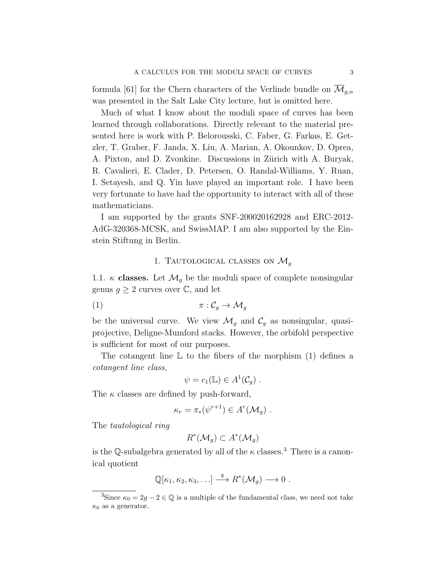formula [61] for the Chern characters of the Verlinde bundle on  $\mathcal{M}_{q,n}$ was presented in the Salt Lake City lecture, but is omitted here.

Much of what I know about the moduli space of curves has been learned through collaborations. Directly relevant to the material presented here is work with P. Belorousski, C. Faber, G. Farkas, E. Getzler, T. Graber, F. Janda, X. Liu, A. Marian, A. Okounkov, D. Oprea, A. Pixton, and D. Zvonkine. Discussions in Zürich with A. Buryak, R. Cavalieri, E. Clader, D. Petersen, O. Randal-Williams, Y. Ruan, I. Setayesh, and Q. Yin have played an important role. I have been very fortunate to have had the opportunity to interact with all of these mathematicians.

I am supported by the grants SNF-200020162928 and ERC-2012- AdG-320368-MCSK, and SwissMAP. I am also supported by the Einstein Stiftung in Berlin.

# 1. TAUTOLOGICAL CLASSES ON  $\mathcal{M}_q$

1.1.  $\kappa$  classes. Let  $\mathcal{M}_q$  be the moduli space of complete nonsingular genus  $g \geq 2$  curves over  $\mathbb{C}$ , and let

$$
\pi : \mathcal{C}_g \to \mathcal{M}_g
$$

be the universal curve. We view  $\mathcal{M}_g$  and  $\mathcal{C}_g$  as nonsingular, quasiprojective, Deligne-Mumford stacks. However, the orbifold perspective is sufficient for most of our purposes.

The cotangent line  $\mathbb L$  to the fibers of the morphism (1) defines a cotangent line class,

$$
\psi = c_1(\mathbb{L}) \in A^1(\mathcal{C}_g) .
$$

The  $\kappa$  classes are defined by push-forward,

$$
\kappa_r = \pi_*(\psi^{r+1}) \in A^r(\mathcal{M}_g) .
$$

The tautological ring

$$
R^*(\mathcal{M}_g) \subset A^*(\mathcal{M}_g)
$$

is the Q-subalgebra generated by all of the  $\kappa$  classes.<sup>3</sup> There is a canonical quotient

$$
\mathbb{Q}[\kappa_1,\kappa_2,\kappa_3,\ldots] \stackrel{q}{\longrightarrow} R^*(\mathcal{M}_g) \longrightarrow 0.
$$

<sup>&</sup>lt;sup>3</sup>Since  $\kappa_0 = 2g - 2 \in \mathbb{Q}$  is a multiple of the fundamental class, we need not take  $\kappa_0$  as a generator.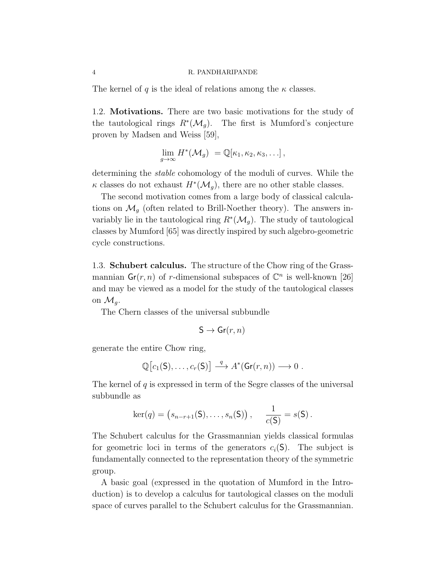The kernel of q is the ideal of relations among the  $\kappa$  classes.

1.2. Motivations. There are two basic motivations for the study of the tautological rings  $R^*(\mathcal{M}_g)$ . The first is Mumford's conjecture proven by Madsen and Weiss [59],

$$
\lim_{g\to\infty} H^*(\mathcal{M}_g) = \mathbb{Q}[\kappa_1, \kappa_2, \kappa_3, \ldots],
$$

determining the stable cohomology of the moduli of curves. While the  $\kappa$  classes do not exhaust  $H^*(\mathcal{M}_g)$ , there are no other stable classes.

The second motivation comes from a large body of classical calculations on  $\mathcal{M}_q$  (often related to Brill-Noether theory). The answers invariably lie in the tautological ring  $R^*(\mathcal{M}_g)$ . The study of tautological classes by Mumford [65] was directly inspired by such algebro-geometric cycle constructions.

1.3. Schubert calculus. The structure of the Chow ring of the Grassmannian  $\mathsf{Gr}(r, n)$  of r-dimensional subspaces of  $\mathbb{C}^n$  is well-known [26] and may be viewed as a model for the study of the tautological classes on  $\mathcal{M}_q$ .

The Chern classes of the universal subbundle

$$
S \to Gr(r, n)
$$

generate the entire Chow ring,

$$
\mathbb{Q}[c_1(\mathsf{S}),\ldots,c_r(\mathsf{S})] \stackrel{q}{\longrightarrow} A^*(\mathsf{Gr}(r,n)) \longrightarrow 0.
$$

The kernel of  $q$  is expressed in term of the Segre classes of the universal subbundle as

$$
\ker(q) = (s_{n-r+1}(S), \ldots, s_n(S)), \quad \frac{1}{c(S)} = s(S).
$$

The Schubert calculus for the Grassmannian yields classical formulas for geometric loci in terms of the generators  $c_i(\mathsf{S})$ . The subject is fundamentally connected to the representation theory of the symmetric group.

A basic goal (expressed in the quotation of Mumford in the Introduction) is to develop a calculus for tautological classes on the moduli space of curves parallel to the Schubert calculus for the Grassmannian.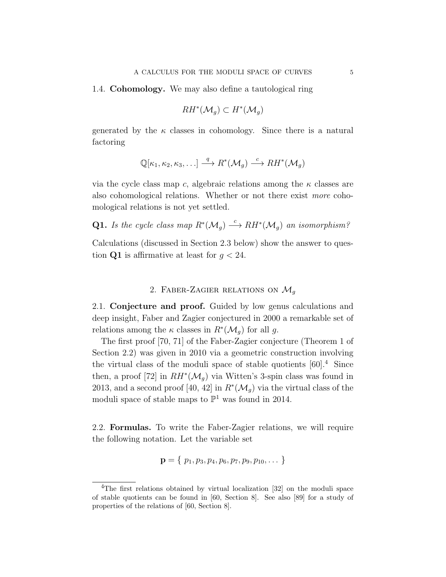1.4. Cohomology. We may also define a tautological ring

$$
RH^*(\mathcal{M}_g) \subset H^*(\mathcal{M}_g)
$$

generated by the  $\kappa$  classes in cohomology. Since there is a natural factoring

$$
\mathbb{Q}[\kappa_1, \kappa_2, \kappa_3, \ldots] \stackrel{q}{\longrightarrow} R^*(\mathcal{M}_g) \stackrel{c}{\longrightarrow} RH^*(\mathcal{M}_g)
$$

via the cycle class map c, algebraic relations among the  $\kappa$  classes are also cohomological relations. Whether or not there exist more cohomological relations is not yet settled.

**Q1.** Is the cycle class map  $R^*(\mathcal{M}_g) \stackrel{c}{\longrightarrow} RH^*(\mathcal{M}_g)$  an isomorphism?

Calculations (discussed in Section 2.3 below) show the answer to question Q1 is affirmative at least for  $q < 24$ .

# 2. FABER-ZAGIER RELATIONS ON  $\mathcal{M}_g$

2.1. Conjecture and proof. Guided by low genus calculations and deep insight, Faber and Zagier conjectured in 2000 a remarkable set of relations among the  $\kappa$  classes in  $R^*(\mathcal{M}_g)$  for all g.

The first proof [70, 71] of the Faber-Zagier conjecture (Theorem 1 of Section 2.2) was given in 2010 via a geometric construction involving the virtual class of the moduli space of stable quotients  $[60]$ <sup>4</sup>. Since then, a proof [72] in  $RH^*(\mathcal{M}_g)$  via Witten's 3-spin class was found in 2013, and a second proof [40, 42] in  $R^*(\mathcal{M}_g)$  via the virtual class of the moduli space of stable maps to  $\mathbb{P}^1$  was found in 2014.

2.2. Formulas. To write the Faber-Zagier relations, we will require the following notation. Let the variable set

$$
\mathbf{p} = \{ p_1, p_3, p_4, p_6, p_7, p_9, p_{10}, \dots \}
$$

<sup>4</sup>The first relations obtained by virtual localization [32] on the moduli space of stable quotients can be found in [60, Section 8]. See also [89] for a study of properties of the relations of [60, Section 8].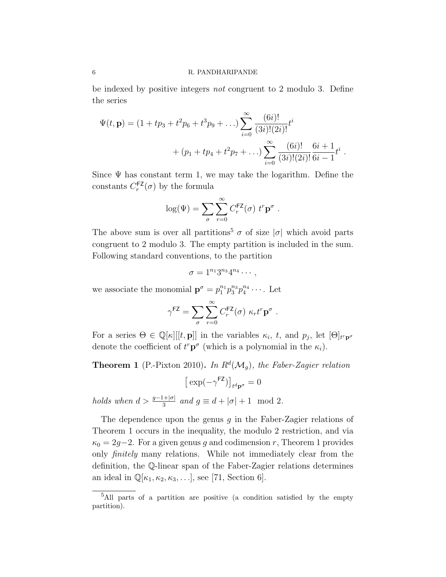be indexed by positive integers not congruent to 2 modulo 3. Define the series

$$
\Psi(t, \mathbf{p}) = (1 + tp_3 + t^2 p_6 + t^3 p_9 + ...) \sum_{i=0}^{\infty} \frac{(6i)!}{(3i)!(2i)!} t^i
$$
  
+  $(p_1 + tp_4 + t^2 p_7 + ...) \sum_{i=0}^{\infty} \frac{(6i)!}{(3i)!(2i)!} \frac{6i+1}{6i-1} t^i$ 

.

Since  $\Psi$  has constant term 1, we may take the logarithm. Define the constants  $C_r^{\textsf{FZ}}(\sigma)$  by the formula

$$
\log(\Psi) = \sum_{\sigma} \sum_{r=0}^{\infty} C_r^{\mathsf{FZ}}(\sigma) \ t^r \mathbf{p}^{\sigma} .
$$

The above sum is over all partitions<sup>5</sup>  $\sigma$  of size  $|\sigma|$  which avoid parts congruent to 2 modulo 3. The empty partition is included in the sum. Following standard conventions, to the partition

$$
\sigma=1^{n_1}3^{n_3}4^{n_4}\cdots,
$$

we associate the monomial  $\mathbf{p}^{\sigma} = p_1^{n_1} p_3^{n_3} p_4^{n_4} \cdots$ . Let

$$
\gamma^{\text{FZ}} = \sum_{\sigma} \sum_{r=0}^{\infty} C_r^{\text{FZ}}(\sigma) \kappa_r t^r \mathbf{p}^{\sigma} .
$$

For a series  $\Theta \in \mathbb{Q}[\kappa][[t, \mathbf{p}]]$  in the variables  $\kappa_i$ , t, and  $p_j$ , let  $[\Theta]_{t^r \mathbf{p}^{\sigma}}$ denote the coefficient of  $t^r \mathbf{p}^{\sigma}$  (which is a polynomial in the  $\kappa_i$ ).

**Theorem 1** (P.-Pixton 2010). In  $R^d(\mathcal{M}_g)$ , the Faber-Zagier relation

$$
\big[\exp(-\gamma^{\text{FZ}})\big]_{t^d\mathbf{p}^\sigma}=0
$$

holds when  $d > \frac{g-1+|\sigma|}{3}$  and  $g \equiv d + |\sigma| + 1 \mod 2$ .

The dependence upon the genus  $g$  in the Faber-Zagier relations of Theorem 1 occurs in the inequality, the modulo 2 restriction, and via  $\kappa_0 = 2g-2$ . For a given genus g and codimension r, Theorem 1 provides only finitely many relations. While not immediately clear from the definition, the Q-linear span of the Faber-Zagier relations determines an ideal in  $\mathbb{Q}[\kappa_1, \kappa_2, \kappa_3, \ldots]$ , see [71, Section 6].

<sup>&</sup>lt;sup>5</sup>All parts of a partition are positive (a condition satisfied by the empty partition).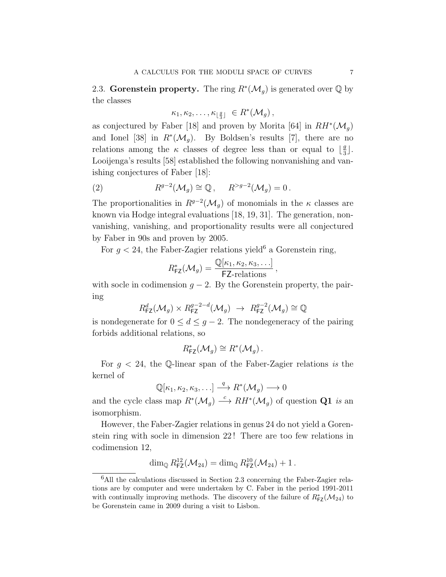2.3. Gorenstein property. The ring  $R^*(\mathcal{M}_g)$  is generated over  $\mathbb Q$  by the classes

$$
\kappa_1, \kappa_2, \ldots, \kappa_{\lfloor \frac{g}{3} \rfloor} \in R^*(\mathcal{M}_g),
$$

as conjectured by Faber [18] and proven by Morita [64] in  $RH^*(\mathcal{M}_g)$ and Ionel [38] in  $R^*(\mathcal{M}_g)$ . By Boldsen's results [7], there are no relations among the  $\kappa$  classes of degree less than or equal to  $\frac{9}{3}$  $\frac{g}{3}$ . Looijenga's results [58] established the following nonvanishing and vanishing conjectures of Faber [18]:

(2) 
$$
R^{g-2}(\mathcal{M}_g) \cong \mathbb{Q}, \quad R^{>g-2}(\mathcal{M}_g) = 0.
$$

The proportionalities in  $R^{g-2}(\mathcal{M}_g)$  of monomials in the  $\kappa$  classes are known via Hodge integral evaluations [18, 19, 31]. The generation, nonvanishing, vanishing, and proportionality results were all conjectured by Faber in 90s and proven by 2005.

For  $g < 24$ , the Faber-Zagier relations yield<sup>6</sup> a Gorenstein ring,

$$
R_{\textsf{FZ}}^*(\mathcal{M}_g) = \frac{\mathbb{Q}[\kappa_1, \kappa_2, \kappa_3, \ldots]}{\textsf{FZ-relations}},
$$

with socle in codimension  $g - 2$ . By the Gorenstein property, the pairing

$$
R_{\text{FZ}}^d(\mathcal{M}_g) \times R_{\text{FZ}}^{g-2-d}(\mathcal{M}_g) \rightarrow R_{\text{FZ}}^{g-2}(\mathcal{M}_g) \cong \mathbb{Q}
$$

is nondegenerate for  $0 \leq d \leq g-2$ . The nondegeneracy of the pairing forbids additional relations, so

$$
R_{\mathsf{FZ}}^*(\mathcal{M}_g) \cong R^*(\mathcal{M}_g).
$$

For  $q < 24$ , the Q-linear span of the Faber-Zagier relations is the kernel of

$$
\mathbb{Q}[\kappa_1,\kappa_2,\kappa_3,\ldots]\stackrel{q}{\longrightarrow}R^*(\mathcal{M}_g)\longrightarrow 0
$$

and the cycle class map  $R^*(\mathcal{M}_g) \stackrel{c}{\longrightarrow} RH^*(\mathcal{M}_g)$  of question Q1 is an isomorphism.

However, the Faber-Zagier relations in genus 24 do not yield a Gorenstein ring with socle in dimension 22 ! There are too few relations in codimension 12,

$$
\dim_{\mathbb{Q}} R_{\text{FZ}}^{12}(\mathcal{M}_{24}) = \dim_{\mathbb{Q}} R_{\text{FZ}}^{10}(\mathcal{M}_{24}) + 1.
$$

<sup>6</sup>All the calculations discussed in Section 2.3 concerning the Faber-Zagier relations are by computer and were undertaken by C. Faber in the period 1991-2011 with continually improving methods. The discovery of the failure of  $R^*_{\text{FZ}}(\mathcal{M}_{24})$  to be Gorenstein came in 2009 during a visit to Lisbon.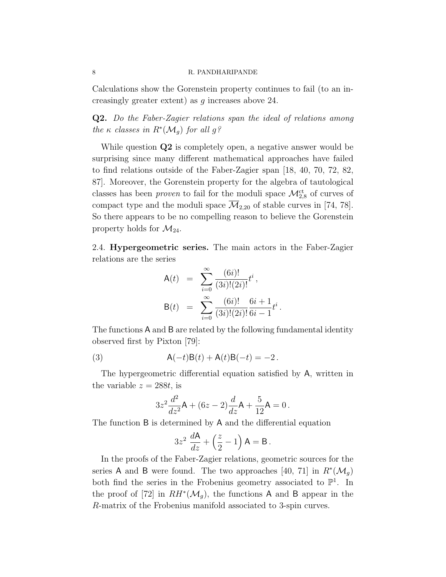Calculations show the Gorenstein property continues to fail (to an increasingly greater extent) as g increases above 24.

Q2. Do the Faber-Zagier relations span the ideal of relations among the  $\kappa$  classes in  $R^*(\mathcal{M}_g)$  for all  $g$ ?

While question  $Q2$  is completely open, a negative answer would be surprising since many different mathematical approaches have failed to find relations outside of the Faber-Zagier span [18, 40, 70, 72, 82, 87]. Moreover, the Gorenstein property for the algebra of tautological classes has been *proven* to fail for the moduli space  $\mathcal{M}_{2,8}^{\text{ct}}$  of curves of compact type and the moduli space  $\mathcal{M}_{2,20}$  of stable curves in [74, 78]. So there appears to be no compelling reason to believe the Gorenstein property holds for  $\mathcal{M}_{24}$ .

2.4. Hypergeometric series. The main actors in the Faber-Zagier relations are the series

$$
A(t) = \sum_{i=0}^{\infty} \frac{(6i)!}{(3i)!(2i)!} t^{i},
$$
  
\n
$$
B(t) = \sum_{i=0}^{\infty} \frac{(6i)!}{(3i)!(2i)!} \frac{6i+1}{6i-1} t^{i}
$$

.

The functions A and B are related by the following fundamental identity observed first by Pixton [79]:

(3) 
$$
A(-t)B(t) + A(t)B(-t) = -2.
$$

The hypergeometric differential equation satisfied by A, written in the variable  $z = 288t$ , is

$$
3z^{2}\frac{d^{2}}{dz^{2}}\mathsf{A} + (6z - 2)\frac{d}{dz}\mathsf{A} + \frac{5}{12}\mathsf{A} = 0.
$$

The function B is determined by A and the differential equation

$$
3z^2 \frac{d\mathsf{A}}{dz} + \left(\frac{z}{2} - 1\right)\mathsf{A} = \mathsf{B}.
$$

In the proofs of the Faber-Zagier relations, geometric sources for the series A and B were found. The two approaches [40, 71] in  $R^*(\mathcal{M}_g)$ both find the series in the Frobenius geometry associated to  $\mathbb{P}^1$ . In the proof of [72] in  $RH^*(\mathcal{M}_g)$ , the functions A and B appear in the R-matrix of the Frobenius manifold associated to 3-spin curves.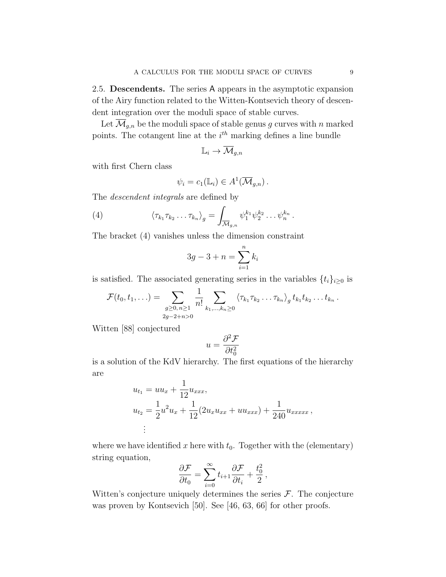2.5. Descendents. The series A appears in the asymptotic expansion of the Airy function related to the Witten-Kontsevich theory of descendent integration over the moduli space of stable curves.

Let  $\overline{\mathcal{M}}_{g,n}$  be the moduli space of stable genus g curves with n marked points. The cotangent line at the  $i<sup>th</sup>$  marking defines a line bundle

$$
\mathbb{L}_i \to \overline{\mathcal{M}}_{g,n}
$$

with first Chern class

$$
\psi_i = c_1(\mathbb{L}_i) \in A^1(\overline{\mathcal{M}}_{g,n}).
$$

The *descendent integrals* are defined by

(4) 
$$
\langle \tau_{k_1} \tau_{k_2} \dots \tau_{k_n} \rangle_g = \int_{\overline{\mathcal{M}}_{g,n}} \psi_1^{k_1} \psi_2^{k_2} \dots \psi_n^{k_n}.
$$

The bracket (4) vanishes unless the dimension constraint

$$
3g - 3 + n = \sum_{i=1}^{n} k_i
$$

is satisfied. The associated generating series in the variables  $\{t_i\}_{i\geq 0}$  is

$$
\mathcal{F}(t_0, t_1, \ldots) = \sum_{\substack{g \geq 0, n \geq 1 \\ 2g - 2 + n > 0}} \frac{1}{n!} \sum_{k_1, \ldots, k_n \geq 0} \langle \tau_{k_1} \tau_{k_2} \ldots \tau_{k_n} \rangle_g t_{k_1} t_{k_2} \ldots t_{k_n}.
$$

Witten [88] conjectured

$$
u = \frac{\partial^2 \mathcal{F}}{\partial t_0^2}
$$

is a solution of the KdV hierarchy. The first equations of the hierarchy are

$$
u_{t_1} = uu_x + \frac{1}{12}u_{xxx},
$$
  
\n
$$
u_{t_2} = \frac{1}{2}u^2u_x + \frac{1}{12}(2u_xu_{xx} + uu_{xxx}) + \frac{1}{240}u_{xxxxx},
$$
  
\n
$$
\vdots
$$

where we have identified x here with  $t_0$ . Together with the (elementary) string equation,

$$
\frac{\partial \mathcal{F}}{\partial t_0} = \sum_{i=0}^{\infty} t_{i+1} \frac{\partial \mathcal{F}}{\partial t_i} + \frac{t_0^2}{2},
$$

Witten's conjecture uniquely determines the series  $\mathcal{F}$ . The conjecture was proven by Kontsevich [50]. See [46, 63, 66] for other proofs.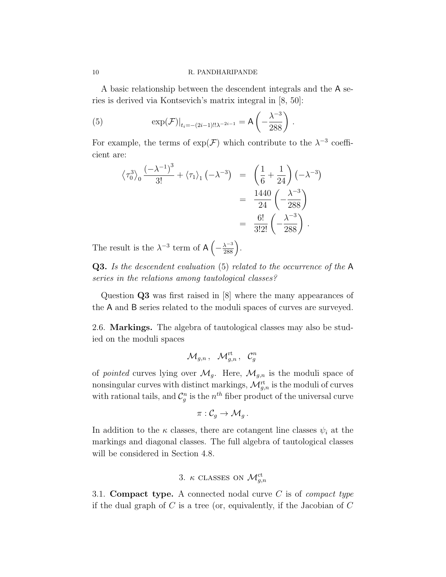A basic relationship between the descendent integrals and the A series is derived via Kontsevich's matrix integral in [8, 50]:

(5) 
$$
\exp(\mathcal{F})|_{t_i = -(2i-1)!!\lambda^{-2i-1}} = A\left(-\frac{\lambda^{-3}}{288}\right).
$$

For example, the terms of  $\exp(\mathcal{F})$  which contribute to the  $\lambda^{-3}$  coefficient are:

$$
\langle \tau_0^3 \rangle_0 \frac{(-\lambda^{-1})^3}{3!} + \langle \tau_1 \rangle_1 (-\lambda^{-3}) = \left(\frac{1}{6} + \frac{1}{24}\right) (-\lambda^{-3})
$$
  
=  $\frac{1440}{24} \left(-\frac{\lambda^{-3}}{288}\right)$   
=  $\frac{6!}{3!2!} \left(-\frac{\lambda^{-3}}{288}\right)$ .

The result is the  $\lambda^{-3}$  term of  $A\left(-\frac{\lambda^{-3}}{288}\right)$ .

Q3. Is the descendent evaluation (5) related to the occurrence of the A series in the relations among tautological classes?

Question Q3 was first raised in [8] where the many appearances of the A and B series related to the moduli spaces of curves are surveyed.

2.6. Markings. The algebra of tautological classes may also be studied on the moduli spaces

$$
\mathcal{M}_{g,n}\,,\ \ \mathcal{M}_{g,n}^{\mathrm{rt}}\,,\ \ \mathcal{C}_g^n
$$

of *pointed* curves lying over  $\mathcal{M}_g$ . Here,  $\mathcal{M}_{g,n}$  is the moduli space of nonsingular curves with distinct markings,  $\mathcal{M}_{g,n}^{\text{rt}}$  is the moduli of curves with rational tails, and  $\mathcal{C}_g^n$  is the  $n^{th}$  fiber product of the universal curve

$$
\pi:\mathcal{C}_g\to \mathcal{M}_g\,.
$$

In addition to the  $\kappa$  classes, there are cotangent line classes  $\psi_i$  at the markings and diagonal classes. The full algebra of tautological classes will be considered in Section 4.8.

3. 
$$
\kappa
$$
 CLASSES ON  $\mathcal{M}_{g,n}^{\mathrm{ct}}$ 

3.1. Compact type. A connected nodal curve  $C$  is of *compact type* if the dual graph of  $C$  is a tree (or, equivalently, if the Jacobian of  $C$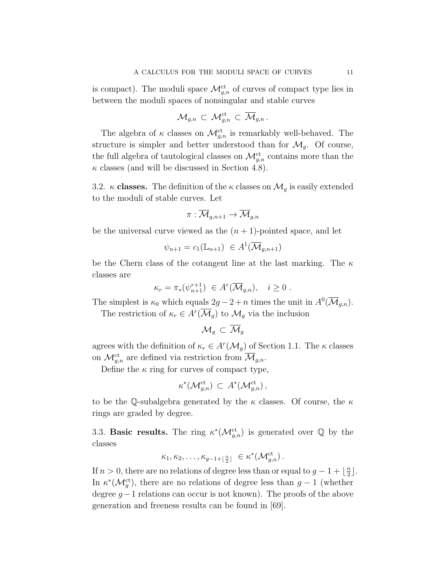is compact). The moduli space  $\mathcal{M}_{g,n}^{\text{ct}}$  of curves of compact type lies in between the moduli spaces of nonsingular and stable curves

$$
\mathcal{M}_{g,n}\, \subset\, \mathcal{M}_{g,n}^{\mathrm{ct}}\, \subset\, \overline{\mathcal{M}}_{g,n}\, .
$$

The algebra of  $\kappa$  classes on  $\mathcal{M}^{\text{ct}}_{g,n}$  is remarkably well-behaved. The structure is simpler and better understood than for  $\mathcal{M}_q$ . Of course, the full algebra of tautological classes on  $\mathcal{M}_{g,n}^{\mathrm{ct}}$  contains more than the  $\kappa$  classes (and will be discussed in Section 4.8).

3.2.  $\kappa$  classes. The definition of the  $\kappa$  classes on  $\mathcal{M}_g$  is easily extended to the moduli of stable curves. Let

$$
\pi:\overline{\mathcal{M}}_{g,n+1}\to\overline{\mathcal{M}}_{g,n}
$$

be the universal curve viewed as the  $(n + 1)$ -pointed space, and let

$$
\psi_{n+1} = c_1(\mathbb{L}_{n+1}) \in A^1(\overline{\mathcal{M}}_{g,n+1})
$$

be the Chern class of the cotangent line at the last marking. The  $\kappa$ classes are

$$
\kappa_r = \pi_*(\psi_{n+1}^{r+1}) \in A^r(\overline{\mathcal{M}}_{g,n}), \quad i \ge 0.
$$

The simplest is  $\kappa_0$  which equals  $2g - 2 + n$  times the unit in  $A^0(\overline{\mathcal{M}}_{g,n}).$ The restriction of  $\kappa_r \in A^r(\overline{\mathcal{M}}_g)$  to  $\mathcal{M}_g$  via the inclusion

$$
\mathcal{M}_g \subset \overline{\mathcal{M}}_g
$$

agrees with the definition of  $\kappa_r \in A^r(\mathcal{M}_g)$  of Section 1.1. The  $\kappa$  classes on  $\mathcal{M}_{g,n}^{\mathrm{ct}}$  are defined via restriction from  $\overline{\mathcal{M}}_{g,n}$ .

Define the  $\kappa$  ring for curves of compact type,

$$
\kappa^*(\mathcal{M}_{g,n}^{\mathrm{ct}}) \, \subset \, A^*(\mathcal{M}_{g,n}^{\mathrm{ct}}) \, ,
$$

to be the Q-subalgebra generated by the  $\kappa$  classes. Of course, the  $\kappa$ rings are graded by degree.

3.3. **Basic results.** The ring  $\kappa^*(\mathcal{M}_{g,n}^{\text{ct}})$  is generated over Q by the classes

$$
\kappa_1, \kappa_2, \ldots, \kappa_{g-1+\lfloor \frac{n}{2} \rfloor} \in \kappa^*({\mathcal{M}}_{g,n}^{\mathrm{ct}}).
$$

If  $n > 0$ , there are no relations of degree less than or equal to  $g - 1 + \lfloor \frac{n}{2} \rfloor$  $\frac{n}{2}$ . In  $\kappa^*(\mathcal{M}_g^{\text{ct}})$ , there are no relations of degree less than  $g-1$  (whether degree  $g-1$  relations can occur is not known). The proofs of the above generation and freeness results can be found in [69].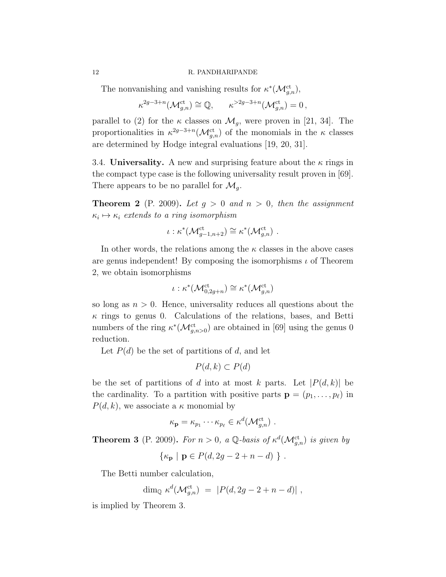The nonvanishing and vanishing results for  $\kappa^*(\mathcal{M}_{g,n}^{\mathrm{ct}})$ ,

$$
\kappa^{2g-3+n}(\mathcal{M}_{g,n}^{\mathrm{ct}}) \cong \mathbb{Q}, \qquad \kappa^{>2g-3+n}(\mathcal{M}_{g,n}^{\mathrm{ct}}) = 0,
$$

parallel to (2) for the  $\kappa$  classes on  $\mathcal{M}_g$ , were proven in [21, 34]. The proportionalities in  $\kappa^{2g-3+n}(\mathcal{M}_{g,n}^{\text{ct}})$  of the monomials in the  $\kappa$  classes are determined by Hodge integral evaluations [19, 20, 31].

3.4. Universality. A new and surprising feature about the  $\kappa$  rings in the compact type case is the following universality result proven in [69]. There appears to be no parallel for  $\mathcal{M}_g$ .

**Theorem 2** (P. 2009). Let  $g > 0$  and  $n > 0$ , then the assignment  $\kappa_i \mapsto \kappa_i$  extends to a ring isomorphism

$$
\iota: \kappa^*({\mathcal{M}}_{g-1,n+2}^{\mathrm{ct}}) \cong \kappa^*({\mathcal{M}}_{g,n}^{\mathrm{ct}}) .
$$

In other words, the relations among the  $\kappa$  classes in the above cases are genus independent! By composing the isomorphisms  $\iota$  of Theorem 2, we obtain isomorphisms

$$
\iota: \kappa^*({\mathcal{M}}_{0,2g+n}^{\mathrm{ct}}) \cong \kappa^*({\mathcal{M}}_{g,n}^{\mathrm{ct}})
$$

so long as  $n > 0$ . Hence, universality reduces all questions about the  $\kappa$  rings to genus 0. Calculations of the relations, bases, and Betti numbers of the ring  $\kappa^*$ ( $\mathcal{M}_{g,n>0}^{\text{ct}}$ ) are obtained in [69] using the genus 0 reduction.

Let  $P(d)$  be the set of partitions of d, and let

$$
P(d,k) \subset P(d)
$$

be the set of partitions of d into at most k parts. Let  $|P(d, k)|$  be the cardinality. To a partition with positive parts  $\mathbf{p} = (p_1, \ldots, p_\ell)$  in  $P(d, k)$ , we associate a  $\kappa$  monomial by

$$
\kappa_{\mathbf{p}} = \kappa_{p_1} \cdots \kappa_{p_\ell} \in \kappa^d(\mathcal{M}_{g,n}^{\mathrm{ct}}) .
$$

**Theorem 3** (P. 2009). For  $n > 0$ , a Q-basis of  $\kappa^d(\mathcal{M}_{g,n}^{ct})$  is given by

$$
\{\kappa_{\mathbf{p}} \mid \mathbf{p} \in P(d, 2g - 2 + n - d) \} .
$$

The Betti number calculation,

$$
\dim_{\mathbb{Q}} \kappa^d(\mathcal{M}_{g,n}^{\mathrm{ct}}) = |P(d, 2g - 2 + n - d)|,
$$

is implied by Theorem 3.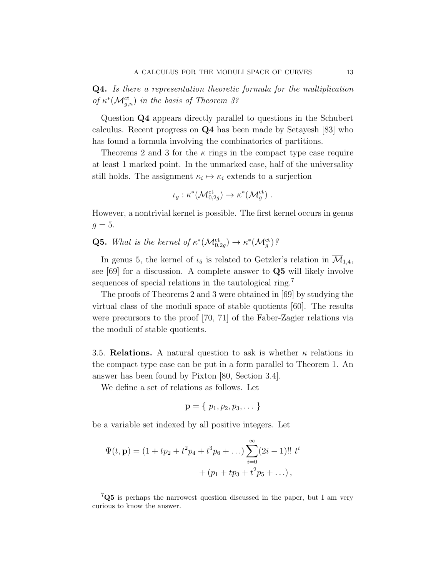Q4. Is there a representation theoretic formula for the multiplication of  $\kappa^*(\mathcal{M}_{g,n}^{\mathrm{ct}})$  in the basis of Theorem 3?

Question Q4 appears directly parallel to questions in the Schubert calculus. Recent progress on Q4 has been made by Setayesh [83] who has found a formula involving the combinatorics of partitions.

Theorems 2 and 3 for the  $\kappa$  rings in the compact type case require at least 1 marked point. In the unmarked case, half of the universality still holds. The assignment  $\kappa_i \mapsto \kappa_i$  extends to a surjection

$$
\iota_g: \kappa^*({\mathcal{M}}_{0,2g}^{\mathrm{ct}}) \to \kappa^*({\mathcal{M}}_{g}^{\mathrm{ct}}) .
$$

However, a nontrivial kernel is possible. The first kernel occurs in genus  $q=5$ .

**Q5.** What is the kernel of  $\kappa^*(\mathcal{M}_{0,2g}^{ct}) \to \kappa^*(\mathcal{M}_g^{ct})$ ?

In genus 5, the kernel of  $\iota_5$  is related to Getzler's relation in  $\overline{\mathcal{M}}_{1,4}$ , see [69] for a discussion. A complete answer to Q5 will likely involve sequences of special relations in the tautological ring.<sup>7</sup>

The proofs of Theorems 2 and 3 were obtained in [69] by studying the virtual class of the moduli space of stable quotients [60]. The results were precursors to the proof [70, 71] of the Faber-Zagier relations via the moduli of stable quotients.

3.5. Relations. A natural question to ask is whether  $\kappa$  relations in the compact type case can be put in a form parallel to Theorem 1. An answer has been found by Pixton [80, Section 3.4].

We define a set of relations as follows. Let

$$
\mathbf{p}=\{p_1,p_2,p_3,\dots\}
$$

be a variable set indexed by all positive integers. Let

$$
\Psi(t, \mathbf{p}) = (1 + tp_2 + t^2p_4 + t^3p_6 + \ldots) \sum_{i=0}^{\infty} (2i - 1)!! \ t^i
$$

$$
+ (p_1 + tp_3 + t^2p_5 + \ldots),
$$

 $7Q5$  is perhaps the narrowest question discussed in the paper, but I am very curious to know the answer.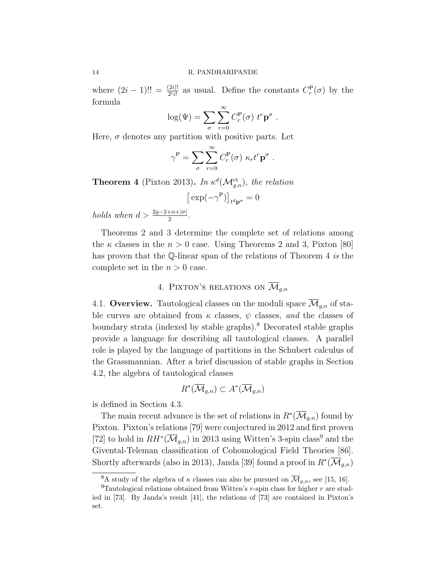where  $(2i - 1)!! = \frac{(2i)!}{2^i i!}$  as usual. Define the constants  $C_r^{\mathsf{P}}(\sigma)$  by the formula

$$
\log(\Psi) = \sum_{\sigma} \sum_{r=0}^{\infty} C_r^{\mathsf{P}}(\sigma) \ t^r \mathbf{p}^{\sigma} .
$$

Here,  $\sigma$  denotes any partition with positive parts. Let

$$
\gamma^{\mathsf{P}} = \sum_{\sigma} \sum_{r=0}^{\infty} C_r^{\mathsf{P}}(\sigma) \kappa_r t^r \mathbf{p}^{\sigma}.
$$

**Theorem 4** (Pixton 2013). In  $\kappa^d(\mathcal{M}_{g,n}^{\mathrm{ct}})$ , the relation

$$
\big[\exp(-\gamma^{\mathsf{P}})\big]_{t^d\mathbf{p}^\sigma}=0
$$

holds when  $d > \frac{2g-2+n+|\sigma|}{2}$ .

Theorems 2 and 3 determine the complete set of relations among the  $\kappa$  classes in the  $n > 0$  case. Using Theorems 2 and 3, Pixton [80] has proven that the Q-linear span of the relations of Theorem 4 is the complete set in the  $n > 0$  case.

# 4. PIXTON'S RELATIONS ON  $\overline{\mathcal{M}}_{q,n}$

4.1. Overview. Tautological classes on the moduli space  $\overline{\mathcal{M}}_{q,n}$  of stable curves are obtained from  $\kappa$  classes,  $\psi$  classes, and the classes of boundary strata (indexed by stable graphs).<sup>8</sup> Decorated stable graphs provide a language for describing all tautological classes. A parallel role is played by the language of partitions in the Schubert calculus of the Grassmannian. After a brief discussion of stable graphs in Section 4.2, the algebra of tautological classes

$$
R^*(\overline{\mathcal{M}}_{g,n}) \subset A^*(\overline{\mathcal{M}}_{g,n})
$$

is defined in Section 4.3.

The main recent advance is the set of relations in  $R^*(\overline{\mathcal{M}}_{g,n})$  found by Pixton. Pixton's relations [79] were conjectured in 2012 and first proven [72] to hold in  $RH^*(\overline{\mathcal{M}}_{g,n})$  in 2013 using Witten's 3-spin class<sup>9</sup> and the Givental-Teleman classification of Cohomological Field Theories [86]. Shortly afterwards (also in 2013), Janda [39] found a proof in  $R^*(\overline{\mathcal{M}}_{g,n})$ 

<sup>&</sup>lt;sup>8</sup>A study of the algebra of  $\kappa$  classes can also be pursued on  $\overline{\mathcal{M}}_{g,n}$ , see [15, 16].

<sup>&</sup>lt;sup>9</sup>Tautological relations obtained from Witten's r-spin class for higher r are studied in [73]. By Janda's result [41], the relations of [73] are contained in Pixton's set.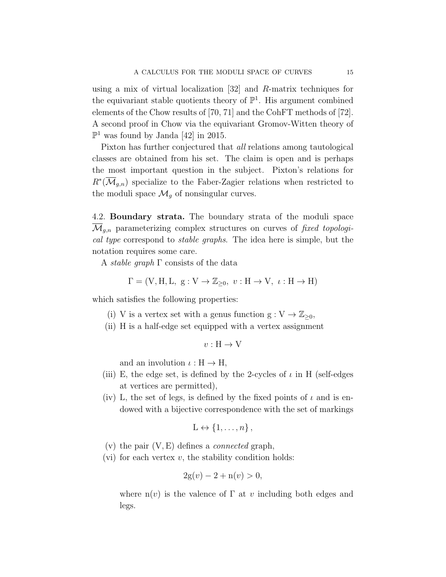using a mix of virtual localization [32] and R-matrix techniques for the equivariant stable quotients theory of  $\mathbb{P}^1$ . His argument combined elements of the Chow results of [70, 71] and the CohFT methods of [72]. A second proof in Chow via the equivariant Gromov-Witten theory of  $\mathbb{P}^1$  was found by Janda [42] in 2015.

Pixton has further conjectured that all relations among tautological classes are obtained from his set. The claim is open and is perhaps the most important question in the subject. Pixton's relations for  $R^*(\overline{\mathcal{M}}_{g,n})$  specialize to the Faber-Zagier relations when restricted to the moduli space  $\mathcal{M}_g$  of nonsingular curves.

4.2. Boundary strata. The boundary strata of the moduli space  $\mathcal{M}_{q,n}$  parameterizing complex structures on curves of fixed topological type correspond to stable graphs. The idea here is simple, but the notation requires some care.

A *stable graph*  $\Gamma$  consists of the data

$$
\Gamma = (\mathbf{V}, \mathbf{H}, \mathbf{L}, \mathbf{g} : \mathbf{V} \to \mathbb{Z}_{\geq 0}, \ v : \mathbf{H} \to \mathbf{V}, \ \iota : \mathbf{H} \to \mathbf{H})
$$

which satisfies the following properties:

- (i) V is a vertex set with a genus function  $g: V \to \mathbb{Z}_{\geq 0}$ ,
- (ii) H is a half-edge set equipped with a vertex assignment

$$
v:\mathcal{H}\to\mathcal{V}
$$

and an involution  $\iota : H \to H$ ,

- (iii) E, the edge set, is defined by the 2-cycles of  $\iota$  in H (self-edges at vertices are permitted),
- (iv) L, the set of legs, is defined by the fixed points of  $\iota$  and is endowed with a bijective correspondence with the set of markings

$$
L \leftrightarrow \{1, \ldots, n\},\
$$

- (v) the pair  $(V, E)$  defines a *connected* graph,
- (vi) for each vertex  $v$ , the stability condition holds:

$$
2g(v) - 2 + n(v) > 0,
$$

where  $n(v)$  is the valence of  $\Gamma$  at v including both edges and legs.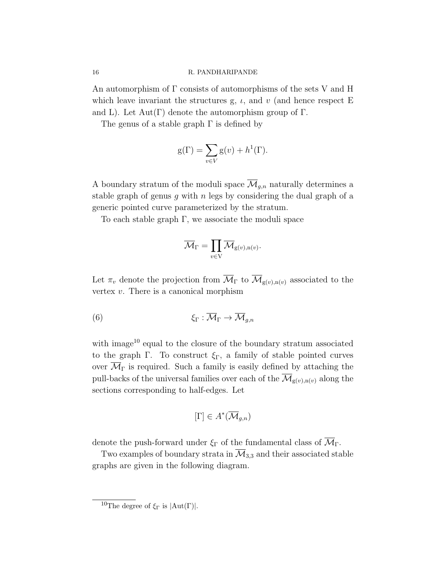An automorphism of Γ consists of automorphisms of the sets V and H which leave invariant the structures g,  $\iota$ , and  $\iota$  (and hence respect E and L). Let  $Aut(\Gamma)$  denote the automorphism group of  $\Gamma$ .

The genus of a stable graph  $\Gamma$  is defined by

$$
g(\Gamma) = \sum_{v \in V} g(v) + h^{1}(\Gamma).
$$

A boundary stratum of the moduli space  $\overline{\mathcal{M}}_{q,n}$  naturally determines a stable graph of genus  $g$  with  $n$  legs by considering the dual graph of a generic pointed curve parameterized by the stratum.

To each stable graph  $\Gamma$ , we associate the moduli space

$$
\overline{\mathcal{M}}_\Gamma=\prod_{v\in \mathrm{V}}\overline{\mathcal{M}}_{\mathrm{g}(v),\mathrm{n}(v)}.
$$

Let  $\pi_v$  denote the projection from  $\overline{\mathcal{M}}_{\Gamma}$  to  $\overline{\mathcal{M}}_{g(v),n(v)}$  associated to the vertex  $v$ . There is a canonical morphism

$$
\xi_{\Gamma} : \overline{\mathcal{M}}_{\Gamma} \to \overline{\mathcal{M}}_{g,n}
$$

with image<sup>10</sup> equal to the closure of the boundary stratum associated to the graph Γ. To construct  $\xi_{\Gamma}$ , a family of stable pointed curves over  $\mathcal{M}_{\Gamma}$  is required. Such a family is easily defined by attaching the pull-backs of the universal families over each of the  $\overline{\mathcal{M}}_{g(v),n(v)}$  along the sections corresponding to half-edges. Let

$$
[\Gamma] \in A^*(\overline{\mathcal{M}}_{g,n})
$$

denote the push-forward under  $\xi_{\Gamma}$  of the fundamental class of  $\overline{\mathcal{M}}_{\Gamma}$ .

Two examples of boundary strata in  $\overline{\mathcal{M}}_{3,3}$  and their associated stable graphs are given in the following diagram.

<sup>&</sup>lt;sup>10</sup>The degree of  $\xi_{\Gamma}$  is  $|Aut(\Gamma)|$ .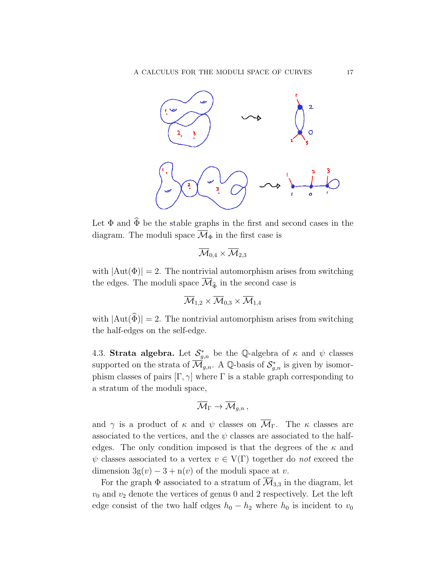

Let  $\Phi$  and  $\widehat{\Phi}$  be the stable graphs in the first and second cases in the diagram. The moduli space  $\overline{\mathcal{M}}_{\Phi}$  in the first case is

$$
\overline{\mathcal{M}}_{0,4}\times \overline{\mathcal{M}}_{2,3}
$$

with  $|\text{Aut}(\Phi)| = 2$ . The nontrivial automorphism arises from switching the edges. The moduli space  $\overline{\mathcal{M}}_{\widehat{\Phi}}$  in the second case is

$$
\overline{\mathcal{M}}_{1,2}\times \overline{\mathcal{M}}_{0,3}\times \overline{\mathcal{M}}_{1,4}
$$

with  $|\text{Aut}(\hat{\Phi})| = 2$ . The nontrivial automorphism arises from switching the half-edges on the self-edge.

4.3. Strata algebra. Let  $S_{g,n}^*$  be the Q-algebra of  $\kappa$  and  $\psi$  classes supported on the strata of  $\overline{\mathcal{M}}_{g,n}$ . A Q-basis of  $\mathcal{S}_{g,n}^*$  is given by isomorphism classes of pairs  $[\Gamma, \gamma]$  where  $\Gamma$  is a stable graph corresponding to a stratum of the moduli space,

$$
\overline{\mathcal M}_\Gamma \to \overline{\mathcal M}_{g,n} \, ,
$$

and  $\gamma$  is a product of  $\kappa$  and  $\psi$  classes on  $\overline{\mathcal{M}}_{\Gamma}$ . The  $\kappa$  classes are associated to the vertices, and the  $\psi$  classes are associated to the halfedges. The only condition imposed is that the degrees of the  $\kappa$  and  $\psi$  classes associated to a vertex  $v \in V(\Gamma)$  together do not exceed the dimension  $3g(v) - 3 + n(v)$  of the moduli space at v.

For the graph  $\Phi$  associated to a stratum of  $\overline{\mathcal{M}}_{3,3}$  in the diagram, let  $v_0$  and  $v_2$  denote the vertices of genus 0 and 2 respectively. Let the left edge consist of the two half edges  $h_0 - h_2$  where  $h_0$  is incident to  $v_0$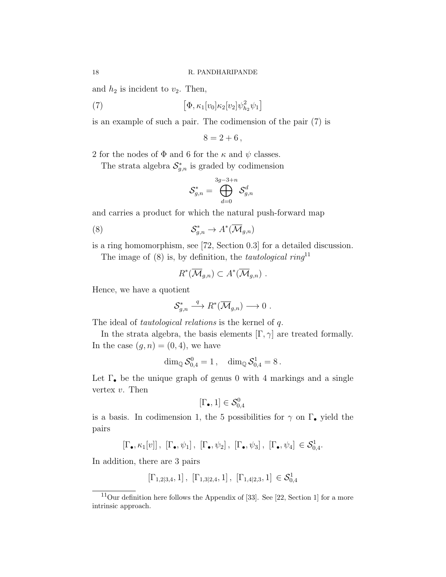and  $h_2$  is incident to  $v_2$ . Then,

(7) 
$$
\left[\Phi, \kappa_1[v_0]\kappa_2[v_2]\psi_{h_2}^2\psi_1\right]
$$

is an example of such a pair. The codimension of the pair (7) is

 $8 = 2 + 6$ ,

2 for the nodes of  $\Phi$  and 6 for the  $\kappa$  and  $\psi$  classes.

The strata algebra  $\mathcal{S}_{g,n}^*$  is graded by codimension

$$
\mathcal{S}_{g,n}^*=\bigoplus_{d=0}^{3g-3+n}\mathcal{S}_{g,n}^d
$$

and carries a product for which the natural push-forward map

$$
(8) \tS_{g,n}^* \to A^*(\overline{\mathcal{M}}_{g,n})
$$

is a ring homomorphism, see [72, Section 0.3] for a detailed discussion.

The image of  $(8)$  is, by definition, the *tautological ring*<sup>11</sup>

$$
R^*(\overline{\mathcal{M}}_{g,n}) \subset A^*(\overline{\mathcal{M}}_{g,n}) \ .
$$

Hence, we have a quotient

$$
\mathcal{S}_{g,n}^* \stackrel{q}{\longrightarrow} R^*(\overline{\mathcal{M}}_{g,n}) \longrightarrow 0 .
$$

The ideal of *tautological relations* is the kernel of q.

In the strata algebra, the basis elements  $[\Gamma, \gamma]$  are treated formally. In the case  $(g, n) = (0, 4)$ , we have

$$
\dim_\mathbb{Q} \mathcal{S}_{0,4}^0 = 1\,,\quad \dim_\mathbb{Q} \mathcal{S}_{0,4}^1 = 8\,.
$$

Let  $\Gamma_{\bullet}$  be the unique graph of genus 0 with 4 markings and a single vertex v. Then

$$
[\Gamma_{\bullet},1] \in \mathcal{S}_{0,4}^0
$$

is a basis. In codimension 1, the 5 possibilities for  $\gamma$  on  $\Gamma_{\bullet}$  yield the pairs

$$
[\Gamma_{\bullet}, \kappa_1[v]], [\Gamma_{\bullet}, \psi_1], [\Gamma_{\bullet}, \psi_2], [\Gamma_{\bullet}, \psi_3], [\Gamma_{\bullet}, \psi_4] \in \mathcal{S}^1_{0,4}.
$$

In addition, there are 3 pairs

$$
[\Gamma_{1,2|3,4},1] \,,\ [\Gamma_{1,3|2,4},1] \,,\ [\Gamma_{1,4|2,3},1] \,\in \mathcal{S}^1_{0,4}
$$

 $11$ Our definition here follows the Appendix of [33]. See [22, Section 1] for a more intrinsic approach.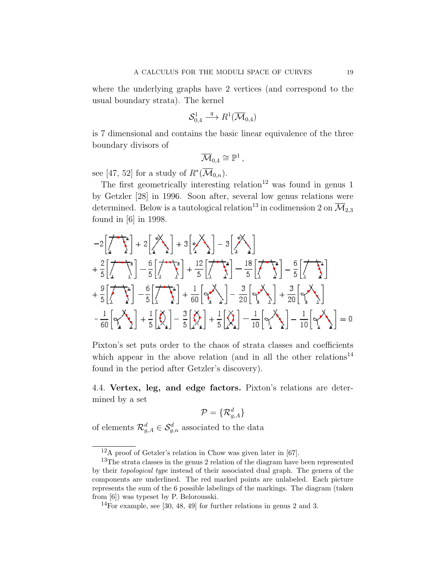where the underlying graphs have 2 vertices (and correspond to the usual boundary strata). The kernel

$$
\mathcal{S}_{0,4}^1 \stackrel{q}{\longrightarrow} R^1(\overline{\mathcal{M}}_{0,4})
$$

is 7 dimensional and contains the basic linear equivalence of the three boundary divisors of

$$
\overline{\mathcal{M}}_{0,4}\cong \mathbb{P}^1\,,
$$

see [47, 52] for a study of  $R^*(\overline{\mathcal{M}}_{0,n}).$ 

The first geometrically interesting relation<sup>12</sup> was found in genus 1 by Getzler [28] in 1996. Soon after, several low genus relations were determined. Below is a tautological relation<sup>13</sup> in codimension 2 on  $\overline{\mathcal{M}}_{2,3}$ found in [6] in 1998.

$$
-2\left[\frac{1}{2}\sum_{i=1}^{4}\left(-\frac{1}{2}\right)\right] + 2\left[\frac{1}{2}\sum_{i=1}^{4}\left(-\frac{1}{2}\right)\right] + 3\left[\frac{1}{2}\sum_{i=1}^{4}\left(-\frac{1}{2}\right)\right] - 3\left[\frac{1}{2}\sum_{i=1}^{4}\right]
$$
  
+ 
$$
\frac{2}{5}\left[\frac{1}{2}\sum_{i=1}^{4}\left(-\frac{1}{2}\right)\right] - \frac{6}{5}\left[\frac{1}{2}\sum_{i=1}^{4}\left(-\frac{1}{2}\right)\right] + \frac{12}{5}\left[\frac{1}{2}\sum_{i=1}^{4}\left(-\frac{1}{2}\right)\right] - \frac{18}{5}\left[\frac{1}{2}\sum_{i=1}^{4}\right] - \frac{6}{5}\left[\frac{1}{2}\sum_{i=1}^{4}\right] - \frac{1}{5}\left[\frac{1}{2}\sum_{i=1}^{4}\left(-\frac{1}{2}\right)\right] - \frac{1}{20}\left[\frac{1}{2}\sum_{i=1}^{4}\right] - \frac{1}{10}\left[\frac{1}{2}\sum_{i=1}^{4}\right] - \frac{1}{10}\left[\frac{1}{2}\sum_{i=1}^{4}\right] - \frac{1}{10}\left[\frac{1}{2}\sum_{i=1}^{4}\right] - \frac{1}{10}\left[\frac{1}{2}\sum_{i=1}^{4}\right] - \frac{1}{10}\left[\frac{1}{2}\sum_{i=1}^{4}\right] - \frac{1}{10}\left[\frac{1}{2}\sum_{i=1}^{4}\right] - \frac{1}{10}\left[\frac{1}{2}\sum_{i=1}^{4}\right] - \frac{1}{10}\left[\frac{1}{2}\sum_{i=1}^{4}\right] - \frac{1}{10}\left[\frac{1}{2}\sum_{i=1}^{4}\right] - \frac{1}{10}\left[\frac{1}{2}\sum_{i=1}^{4}\right] - \frac{1}{10}\left[\frac{1}{2}\sum_{i=1}^{4}\right] - \frac{1}{10}\left[\frac{1}{2}\sum_{i=1}^{4}\right] - \frac{1}{10}\left[\frac{1}{2}\sum_{i=1}^{4}\right] - \frac{1}{10}\left[\frac{1}{2}\sum_{i=1}^{4}\right
$$

Pixton's set puts order to the chaos of strata classes and coefficients which appear in the above relation (and in all the other relations<sup>14</sup> found in the period after Getzler's discovery).

4.4. Vertex, leg, and edge factors. Pixton's relations are determined by a set

$$
\mathcal{P}=\{\mathcal{R}^d_{g,A}\}
$$

of elements  $\mathcal{R}_{g,A}^d \in \mathcal{S}_{g,n}^d$  associated to the data

 $12_A$  proof of Getzler's relation in Chow was given later in [67].

<sup>&</sup>lt;sup>13</sup>The strata classes in the genus 2 relation of the diagram have been represented by their topological type instead of their associated dual graph. The genera of the components are underlined. The red marked points are unlabeled. Each picture represents the sum of the 6 possible labelings of the markings. The diagram (taken from [6]) was typeset by P. Belorousski.

 $14\overline{F}$ or example, see [30, 48, 49] for further relations in genus 2 and 3.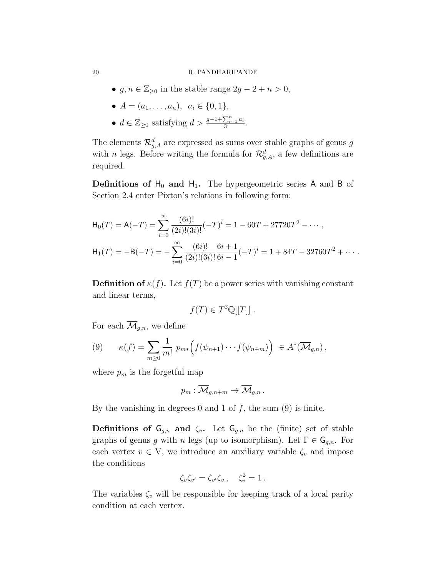•  $g, n \in \mathbb{Z}_{\geq 0}$  in the stable range  $2g - 2 + n > 0$ ,

• 
$$
A = (a_1, \ldots, a_n), \ a_i \in \{0, 1\},\
$$

• 
$$
d \in \mathbb{Z}_{\geq 0}
$$
 satisfying  $d > \frac{g-1+\sum_{i=1}^{n} a_i}{3}$ .

The elements  $\mathcal{R}_{g,A}^d$  are expressed as sums over stable graphs of genus g with *n* legs. Before writing the formula for  $\mathcal{R}^d_{g,A}$ , a few definitions are required.

**Definitions of H<sub>0</sub>** and H<sub>1</sub>. The hypergeometric series A and B of Section 2.4 enter Pixton's relations in following form:

$$
\mathsf{H}_0(T) = \mathsf{A}(-T) = \sum_{i=0}^{\infty} \frac{(6i)!}{(2i)!(3i)!} (-T)^i = 1 - 60T + 27720T^2 - \cdots,
$$
  

$$
\mathsf{H}_1(T) = -\mathsf{B}(-T) = -\sum_{i=0}^{\infty} \frac{(6i)!}{(2i)!(3i)!} \frac{6i+1}{6i-1} (-T)^i = 1 + 84T - 32760T^2 + \cdots.
$$

**Definition of**  $\kappa(f)$ . Let  $f(T)$  be a power series with vanishing constant and linear terms,

$$
f(T) \in T^2 \mathbb{Q}[[T]] .
$$

For each  $\overline{\mathcal{M}}_{q,n}$ , we define

$$
(9) \qquad \kappa(f) = \sum_{m\geq 0} \frac{1}{m!} p_{m*} \Big( f(\psi_{n+1}) \cdots f(\psi_{n+m}) \Big) \ \in A^*(\overline{\mathcal{M}}_{g,n})\,,
$$

where  $p_m$  is the forgetful map

$$
p_m: \overline{\mathcal{M}}_{g,n+m} \to \overline{\mathcal{M}}_{g,n}.
$$

By the vanishing in degrees 0 and 1 of  $f$ , the sum (9) is finite.

**Definitions of**  $\mathsf{G}_{g,n}$  **and**  $\zeta_v$ **.** Let  $\mathsf{G}_{g,n}$  be the (finite) set of stable graphs of genus g with n legs (up to isomorphism). Let  $\Gamma \in \mathsf{G}_{q,n}$ . For each vertex  $v \in V$ , we introduce an auxiliary variable  $\zeta_v$  and impose the conditions

$$
\zeta_v \zeta_{v'} = \zeta_{v'} \zeta_v , \quad \zeta_v^2 = 1 .
$$

The variables  $\zeta_v$  will be responsible for keeping track of a local parity condition at each vertex.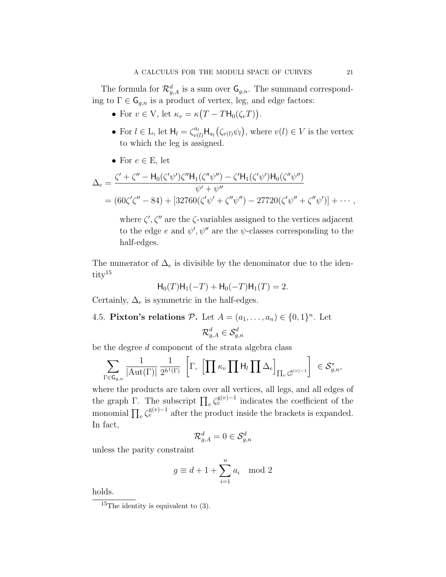The formula for  $\mathcal{R}_{g,A}^d$  is a sum over  $\mathsf{G}_{g,n}$ . The summand corresponding to  $\Gamma \in \mathsf{G}_{q,n}$  is a product of vertex, leg, and edge factors:

- For  $v \in V$ , let  $\kappa_v = \kappa (T TH_0(\zeta_v T))$ .
- For  $l \in L$ , let  $H_l = \zeta_{v(l)}^{a_l} H_{a_l}(\zeta_{v(l)} \psi_l)$ , where  $v(l) \in V$  is the vertex to which the leg is assigned.
- For  $e \in E$ , let

$$
\Delta_e = \frac{\zeta' + \zeta'' - H_0(\zeta'\psi')\zeta''H_1(\zeta''\psi'') - \zeta'H_1(\zeta'\psi')H_0(\zeta''\psi'')}{\psi' + \psi''}
$$
  
=  $(60\zeta'\zeta'' - 84) + [32760(\zeta'\psi' + \zeta''\psi'') - 27720(\zeta'\psi'' + \zeta''\psi')] + \cdots,$ 

where  $\zeta', \zeta''$  are the  $\zeta$ -variables assigned to the vertices adjacent to the edge e and  $\psi', \psi''$  are the  $\psi$ -classes corresponding to the half-edges.

The numerator of  $\Delta_e$  is divisible by the denominator due to the identity<sup>15</sup>

$$
H_0(T)H_1(-T) + H_0(-T)H_1(T) = 2.
$$

Certainly,  $\Delta_e$  is symmetric in the half-edges.

4.5. Pixton's relations  $P$ . Let  $A = (a_1, \ldots, a_n) \in \{0, 1\}^n$ . Let

$$
\mathcal{R}^d_{g,A}\in\mathcal{S}^d_{g,n}
$$

be the degree d component of the strata algebra class

$$
\sum_{\Gamma \in \mathsf{G}_{g,n}} \frac{1}{|\mathrm{Aut}(\Gamma)|} \frac{1}{2^{h^1(\Gamma)}} \left[ \Gamma, \left[ \prod \kappa_v \prod \mathsf{H}_l \prod \Delta_e \right]_{\prod_v \zeta_v^{\mathrm{g}(v)-1}} \right] \in \mathcal{S}_{g,n}^*,
$$

where the products are taken over all vertices, all legs, and all edges of the graph Γ. The subscript  $\prod_{v} \zeta_v^{\mathsf{g}(v)-1}$  indicates the coefficient of the monomial  $\prod_{v} \zeta_v^{\mathsf{g}(v)-1}$  after the product inside the brackets is expanded. In fact,

$$
\mathcal{R}^d_{g,A}=0\in\mathcal{S}^d_{g,n}
$$

unless the parity constraint

$$
g \equiv d + 1 + \sum_{i=1}^{n} a_i \mod 2
$$

holds.

<sup>&</sup>lt;sup>15</sup>The identity is equivalent to  $(3)$ .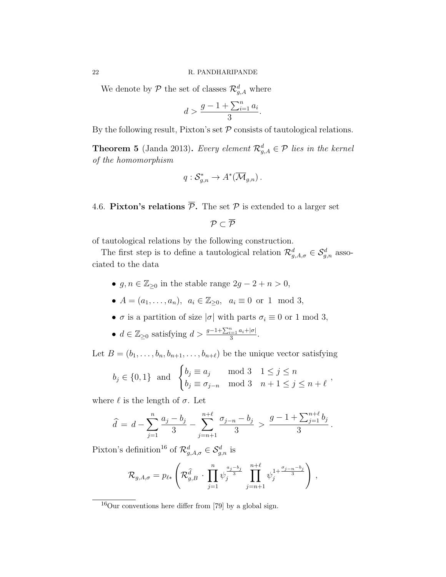We denote by  $P$  the set of classes  $\mathcal{R}^d_{g,A}$  where

$$
d > \frac{g - 1 + \sum_{i=1}^{n} a_i}{3}.
$$

By the following result, Pixton's set  $P$  consists of tautological relations.

**Theorem 5** (Janda 2013). Every element  $\mathcal{R}_{g,A}^d \in \mathcal{P}$  lies in the kernel of the homomorphism

$$
q: \mathcal{S}_{g,n}^* \to A^*(\overline{\mathcal{M}}_{g,n}).
$$

4.6. Pixton's relations  $\overline{\mathcal{P}}$ . The set  $\mathcal P$  is extended to a larger set

$$
\mathcal{P}\subset\overline{\mathcal{P}}
$$

of tautological relations by the following construction.

The first step is to define a tautological relation  $\mathcal{R}_{g,A,\sigma}^d \in \mathcal{S}_{g,n}^d$  associated to the data

- $g, n \in \mathbb{Z}_{\geq 0}$  in the stable range  $2g 2 + n > 0$ ,
- $A = (a_1, ..., a_n), \ a_i \in \mathbb{Z}_{\geq 0}, \ a_i \equiv 0 \text{ or } 1 \mod 3,$
- $\sigma$  is a partition of size  $|\sigma|$  with parts  $\sigma_i \equiv 0$  or 1 mod 3,
- $d \in \mathbb{Z}_{\geq 0}$  satisfying  $d > \frac{g-1+\sum_{i=1}^n a_i+|\sigma|}{3}$  $rac{i=1}{3} \frac{a_i + |\sigma|}{n}$ .

Let  $B = (b_1, \ldots, b_n, b_{n+1}, \ldots, b_{n+\ell})$  be the unique vector satisfying

$$
b_j \in \{0, 1\}
$$
 and  $\begin{cases} b_j \equiv a_j \mod 3 & 1 \leq j \leq n \\ b_j \equiv \sigma_{j-n} \mod 3 & n+1 \leq j \leq n+\ell \end{cases}$ 

where  $\ell$  is the length of  $\sigma$ . Let

$$
\widehat{d} = d - \sum_{j=1}^{n} \frac{a_j - b_j}{3} - \sum_{j=n+1}^{n+\ell} \frac{\sigma_{j-n} - b_j}{3} > \frac{g - 1 + \sum_{j=1}^{n+\ell} b_j}{3}.
$$

Pixton's definition<sup>16</sup> of  $\mathcal{R}^d_{g,A,\sigma} \in \mathcal{S}^d_{g,n}$  is

$$
\mathcal{R}_{g,A,\sigma} = p_{\ell*} \left( \mathcal{R}_{g,B}^{\widehat{d}} \cdot \prod_{j=1}^n \psi_j^{\frac{a_j-b_j}{3}} \prod_{j=n+1}^{n+\ell} \psi_j^{1+\frac{\sigma_{j-n}-b_j}{3}} \right),
$$

 $^{16}$ Our conventions here differ from [79] by a global sign.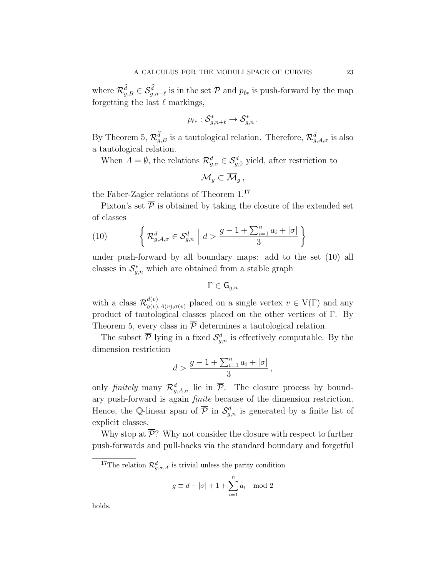where  $\mathcal{R}_{g,B}^d \in \mathcal{S}_{g,n+\ell}^d$  is in the set P and  $p_{\ell *}$  is push-forward by the map forgetting the last  $\ell$  markings,

$$
p_{\ell*}: \mathcal{S}_{g,n+\ell}^* \to \mathcal{S}_{g,n}^*.
$$

By Theorem 5,  $\mathcal{R}_{g,B}^d$  is a tautological relation. Therefore,  $\mathcal{R}_{g,A,\sigma}^d$  is also a tautological relation.

When  $A = \emptyset$ , the relations  $\mathcal{R}^d_{g,\sigma} \in \mathcal{S}^d_{g,0}$  yield, after restriction to

$$
\mathcal{M}_g \subset \overline{\mathcal{M}}_g,
$$

the Faber-Zagier relations of Theorem 1.<sup>17</sup>

Pixton's set  $\overline{P}$  is obtained by taking the closure of the extended set of classes

(10) 
$$
\left\{ \mathcal{R}_{g,A,\sigma}^{d} \in \mathcal{S}_{g,n}^{d} \middle| d > \frac{g-1+\sum_{i=1}^{n} a_i + |\sigma|}{3} \right\}
$$

under push-forward by all boundary maps: add to the set (10) all classes in  $S_{g,n}^*$  which are obtained from a stable graph

$$
\Gamma\in\mathsf{G}_{g,n}
$$

with a class  $\mathcal{R}_{a(v)}^{d(v)}$  $g_{(v),A(v),\sigma(v)}^{(u)}$  placed on a single vertex  $v \in V(\Gamma)$  and any product of tautological classes placed on the other vertices of Γ. By Theorem 5, every class in  $\overline{P}$  determines a tautological relation.

The subset  $\overline{P}$  lying in a fixed  $\mathcal{S}_{g,n}^d$  is effectively computable. By the dimension restriction

$$
d > \frac{g - 1 + \sum_{i=1}^{n} a_i + |\sigma|}{3},
$$

only finitely many  $\mathcal{R}^d_{g,A,\sigma}$  lie in  $\overline{\mathcal{P}}$ . The closure process by boundary push-forward is again finite because of the dimension restriction. Hence, the Q-linear span of  $\overline{P}$  in  $\mathcal{S}_{g,n}^d$  is generated by a finite list of explicit classes.

Why stop at  $\overline{\mathcal{P}}$ ? Why not consider the closure with respect to further push-forwards and pull-backs via the standard boundary and forgetful

$$
g \equiv d + |\sigma| + 1 + \sum_{i=1}^{n} a_i \mod 2
$$

holds.

<sup>&</sup>lt;sup>17</sup>The relation  $\mathcal{R}_{g,\sigma,A}^d$  is trivial unless the parity condition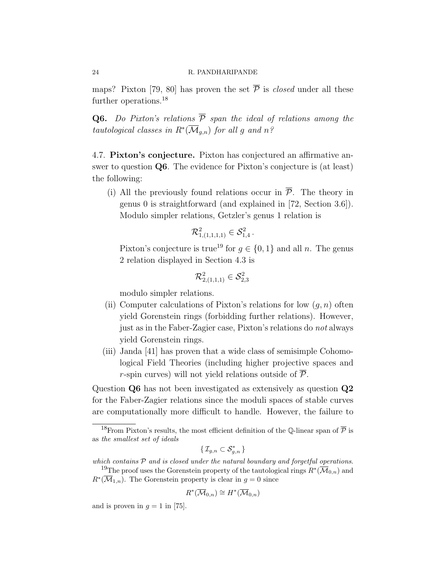maps? Pixton [79, 80] has proven the set  $\overline{P}$  is *closed* under all these further operations.<sup>18</sup>

**Q6.** Do Pixton's relations  $\overline{P}$  span the ideal of relations among the tautological classes in  $R^*(\overline{\mathcal{M}}_{g,n})$  for all g and  $n$ ?

4.7. Pixton's conjecture. Pixton has conjectured an affirmative answer to question Q6. The evidence for Pixton's conjecture is (at least) the following:

(i) All the previously found relations occur in  $\overline{P}$ . The theory in genus 0 is straightforward (and explained in [72, Section 3.6]). Modulo simpler relations, Getzler's genus 1 relation is

$$
\mathcal{R}_{1,(1,1,1,1)}^2 \in \mathcal{S}_{1,4}^2 \, .
$$

Pixton's conjecture is true<sup>19</sup> for  $q \in \{0, 1\}$  and all n. The genus 2 relation displayed in Section 4.3 is

$$
\mathcal{R}_{2,(1,1,1)}^2\in\mathcal{S}_{2,3}^2
$$

modulo simpler relations.

- (ii) Computer calculations of Pixton's relations for low  $(q, n)$  often yield Gorenstein rings (forbidding further relations). However, just as in the Faber-Zagier case, Pixton's relations do not always yield Gorenstein rings.
- (iii) Janda [41] has proven that a wide class of semisimple Cohomological Field Theories (including higher projective spaces and r-spin curves) will not yield relations outside of  $\overline{\mathcal{P}}$ .

Question Q6 has not been investigated as extensively as question Q2 for the Faber-Zagier relations since the moduli spaces of stable curves are computationally more difficult to handle. However, the failure to

$$
\{\,\mathcal{I}_{g,n}\subset\mathcal{S}_{g,n}^*\,\}
$$

which contains  $P$  and is closed under the natural boundary and forgetful operations.

$$
R^*(\overline{\mathcal{M}}_{0,n}) \cong H^*(\overline{\mathcal{M}}_{0,n})
$$

and is proven in  $q = 1$  in [75].

<sup>&</sup>lt;sup>18</sup>From Pixton's results, the most efficient definition of the Q-linear span of  $\overline{P}$  is as the smallest set of ideals

<sup>&</sup>lt;sup>19</sup>The proof uses the Gorenstein property of the tautological rings  $R^*(\overline{\mathcal{M}}_{0,n})$  and  $R^*(\overline{\mathcal{M}}_{1,n})$ . The Gorenstein property is clear in  $g=0$  since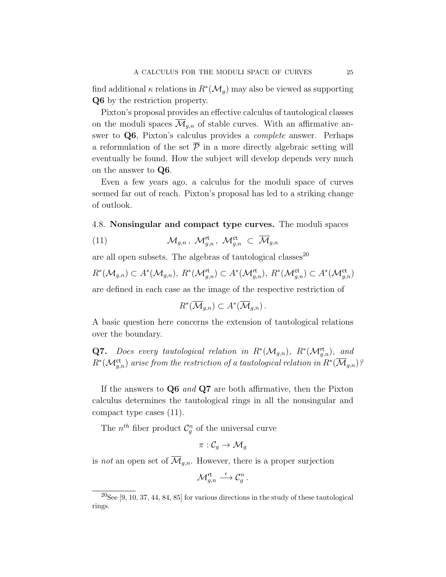find additional  $\kappa$  relations in  $R^*(\mathcal{M}_g)$  may also be viewed as supporting Q6 by the restriction property.

Pixton's proposal provides an effective calculus of tautological classes on the moduli spaces  $\mathcal{M}_{q,n}$  of stable curves. With an affirmative answer to Q6, Pixton's calculus provides a complete answer. Perhaps a reformulation of the set  $\bar{P}$  in a more directly algebraic setting will eventually be found. How the subject will develop depends very much on the answer to Q6.

Even a few years ago, a calculus for the moduli space of curves seemed far out of reach. Pixton's proposal has led to a striking change of outlook.

### 4.8. Nonsingular and compact type curves. The moduli spaces

(11) 
$$
\mathcal{M}_{g,n}, \ \mathcal{M}_{g,n}^{\mathsf{rt}}, \ \mathcal{M}_{g,n}^{\mathsf{ct}} \subset \overline{\mathcal{M}}_{g,n}
$$

are all open subsets. The algebras of tautological classes<sup>20</sup>

$$
R^*(\mathcal{M}_{g,n}) \subset A^*(\mathcal{M}_{g,n}), \ R^*(\mathcal{M}_{g,n}^{\mathsf{rt}}) \subset A^*(\mathcal{M}_{g,n}^{\mathsf{rt}}), \ R^*(\mathcal{M}_{g,n}^{\mathsf{ct}}) \subset A^*(\mathcal{M}_{g,n}^{\mathsf{ct}})
$$

are defined in each case as the image of the respective restriction of

$$
R^*(\overline{\mathcal{M}}_{g,n}) \subset A^*(\overline{\mathcal{M}}_{g,n}).
$$

A basic question here concerns the extension of tautological relations over the boundary.

**Q7.** Does every tautological relation in  $R^*(\mathcal{M}_{g,n})$ ,  $R^*(\mathcal{M}_{g,n}^{\text{rt}})$ , and  $R^*(\mathcal{M}_{g,n}^{\mathsf{ct}})$  arise from the restriction of a tautological relation in  $R^*(\overline{\mathcal{M}}_{g,n})$ ?

If the answers to  $Q6$  and  $Q7$  are both affirmative, then the Pixton calculus determines the tautological rings in all the nonsingular and compact type cases (11).

The  $n^{th}$  fiber product  $\mathcal{C}_g^n$  of the universal curve

$$
\pi:\mathcal{C}_g\rightarrow \mathcal{M}_g
$$

is *not* an open set of  $\overline{\mathcal{M}}_{g,n}$ . However, there is a proper surjection

$$
{\mathcal{M}}_{g,n}^{\mathsf{rt}} \stackrel{\epsilon}{\longrightarrow} \mathcal{C}_g^n\,.
$$

 $20$ See [9, 10, 37, 44, 84, 85] for various directions in the study of these tautological rings.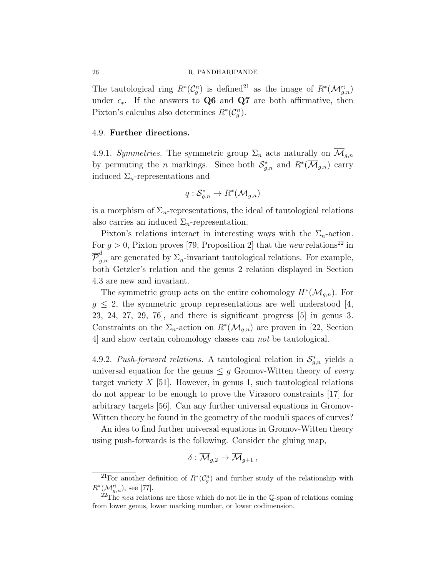The tautological ring  $R^*(\mathcal{C}_g^n)$  is defined<sup>21</sup> as the image of  $R^*(\mathcal{M}_{g,n}^{\mathsf{rt}})$ under  $\epsilon_{\ast}$ . If the answers to Q6 and Q7 are both affirmative, then Pixton's calculus also determines  $R^*(\mathcal{C}_g^n)$ .

#### 4.9. Further directions.

4.9.1. Symmetries. The symmetric group  $\Sigma_n$  acts naturally on  $\overline{\mathcal{M}}_{q,n}$ by permuting the *n* markings. Since both  $\mathcal{S}_{g,n}^*$  and  $R^*(\overline{\mathcal{M}}_{g,n})$  carry induced  $\Sigma_n$ -representations and

$$
q: \mathcal{S}_{g,n}^* \to R^*(\overline{\mathcal{M}}_{g,n})
$$

is a morphism of  $\Sigma_n$ -representations, the ideal of tautological relations also carries an induced  $\Sigma_n$ -representation.

Pixton's relations interact in interesting ways with the  $\Sigma_n$ -action. For  $g > 0$ , Pixton proves [79, Proposition 2] that the new relations<sup>22</sup> in  $\overline{\mathcal{P}}_{g,n}^d$  are generated by  $\Sigma_n$ -invariant tautological relations. For example, both Getzler's relation and the genus 2 relation displayed in Section 4.3 are new and invariant.

The symmetric group acts on the entire cohomology  $H^*(\overline{\mathcal{M}}_{g,n})$ . For  $g \leq 2$ , the symmetric group representations are well understood [4, 23, 24, 27, 29, 76], and there is significant progress [5] in genus 3. Constraints on the  $\Sigma_n$ -action on  $R^*(\overline{\mathcal{M}}_{g,n})$  are proven in [22, Section 4] and show certain cohomology classes can not be tautological.

4.9.2. Push-forward relations. A tautological relation in  $\mathcal{S}_{g,n}^*$  yields a universal equation for the genus  $\leq g$  Gromov-Witten theory of every target variety  $X$  [51]. However, in genus 1, such tautological relations do not appear to be enough to prove the Virasoro constraints [17] for arbitrary targets [56]. Can any further universal equations in Gromov-Witten theory be found in the geometry of the moduli spaces of curves?

An idea to find further universal equations in Gromov-Witten theory using push-forwards is the following. Consider the gluing map,

$$
\delta:\overline{\mathcal{M}}_{g,2}\to\overline{\mathcal{M}}_{g+1},
$$

<sup>&</sup>lt;sup>21</sup>For another definition of  $R^*(\mathcal{C}_g^n)$  and further study of the relationship with  $R^*(\mathcal{M}_{g,n}^{\mathsf{rt}})$ , see [77].

 ${}^{22}$ The new relations are those which do not lie in the Q-span of relations coming from lower genus, lower marking number, or lower codimension.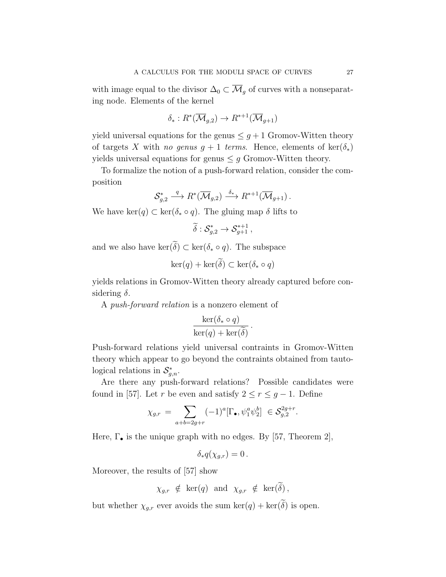with image equal to the divisor  $\Delta_0 \subset \overline{\mathcal{M}}_g$  of curves with a nonseparating node. Elements of the kernel

$$
\delta_*: R^*(\overline{\mathcal{M}}_{g,2}) \to R^{*+1}(\overline{\mathcal{M}}_{g+1})
$$

yield universal equations for the genus  $\leq g+1$  Gromov-Witten theory of targets X with no genus  $g + 1$  terms. Hence, elements of ker( $\delta_*$ ) yields universal equations for genus  $\leq g$  Gromov-Witten theory.

To formalize the notion of a push-forward relation, consider the composition

$$
\mathcal{S}_{g,2}^* \xrightarrow{q} R^*(\overline{\mathcal{M}}_{g,2}) \xrightarrow{\delta_*} R^{*+1}(\overline{\mathcal{M}}_{g+1}).
$$

We have ker(q) ⊂ ker( $\delta_* \circ q$ ). The gluing map  $\delta$  lifts to

$$
\widetilde{\delta}: \mathcal{S}_{g,2}^* \to \mathcal{S}_{g+1}^{*+1}\,,
$$

and we also have  $\ker(\widetilde{\delta}) \subset \ker(\delta_* \circ q)$ . The subspace

$$
\ker(q) + \ker(\tilde{\delta}) \subset \ker(\delta_* \circ q)
$$

yields relations in Gromov-Witten theory already captured before considering  $\delta$ .

A push-forward relation is a nonzero element of

$$
\frac{\ker(\delta_* \circ q)}{\ker(q) + \ker(\widetilde{\delta})}.
$$

Push-forward relations yield universal contraints in Gromov-Witten theory which appear to go beyond the contraints obtained from tautological relations in  $\mathcal{S}_{g,n}^*$ .

Are there any push-forward relations? Possible candidates were found in [57]. Let r be even and satisfy  $2 \le r \le g - 1$ . Define

$$
\chi_{g,r} = \sum_{a+b=2g+r} (-1)^a [\Gamma_{\bullet}, \psi_1^a \psi_2^b] \in \mathcal{S}_{g,2}^{2g+r}.
$$

Here,  $\Gamma_{\bullet}$  is the unique graph with no edges. By [57, Theorem 2],

$$
\delta_* q(\chi_{g,r}) = 0.
$$

Moreover, the results of [57] show

 $\chi_{g,r} \notin \ker(q)$  and  $\chi_{g,r} \notin \ker(\widetilde{\delta}),$ 

but whether  $\chi_{g,r}$  ever avoids the sum  $\ker(q) + \ker(\widetilde{\delta})$  is open.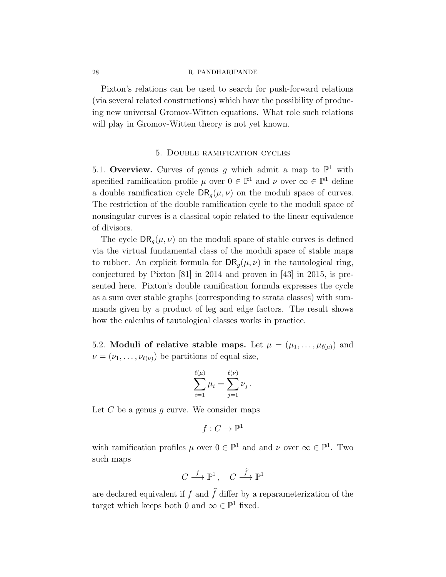Pixton's relations can be used to search for push-forward relations (via several related constructions) which have the possibility of producing new universal Gromov-Witten equations. What role such relations will play in Gromov-Witten theory is not yet known.

### 5. Double ramification cycles

5.1. Overview. Curves of genus g which admit a map to  $\mathbb{P}^1$  with specified ramification profile  $\mu$  over  $0 \in \mathbb{P}^1$  and  $\nu$  over  $\infty \in \mathbb{P}^1$  define a double ramification cycle  $DR_{q}(\mu, \nu)$  on the moduli space of curves. The restriction of the double ramification cycle to the moduli space of nonsingular curves is a classical topic related to the linear equivalence of divisors.

The cycle  $\text{DR}_q(\mu, \nu)$  on the moduli space of stable curves is defined via the virtual fundamental class of the moduli space of stable maps to rubber. An explicit formula for  $\text{DR}_q(\mu, \nu)$  in the tautological ring, conjectured by Pixton [81] in 2014 and proven in [43] in 2015, is presented here. Pixton's double ramification formula expresses the cycle as a sum over stable graphs (corresponding to strata classes) with summands given by a product of leg and edge factors. The result shows how the calculus of tautological classes works in practice.

5.2. Moduli of relative stable maps. Let  $\mu = (\mu_1, \dots, \mu_{\ell(\mu)})$  and  $\nu = (\nu_1, \ldots, \nu_{\ell(\nu)})$  be partitions of equal size,

$$
\sum_{i=1}^{\ell(\mu)} \mu_i = \sum_{j=1}^{\ell(\nu)} \nu_j.
$$

Let  $C$  be a genus  $g$  curve. We consider maps

$$
f:C\to \mathbb{P}^1
$$

with ramification profiles  $\mu$  over  $0 \in \mathbb{P}^1$  and and  $\nu$  over  $\infty \in \mathbb{P}^1$ . Two such maps

$$
C \stackrel{f}{\longrightarrow} \mathbb{P}^1\,, \quad C \stackrel{f}{\longrightarrow} \mathbb{P}^1
$$

are declared equivalent if f and  $\hat{f}$  differ by a reparameterization of the target which keeps both 0 and  $\infty \in \mathbb{P}^1$  fixed.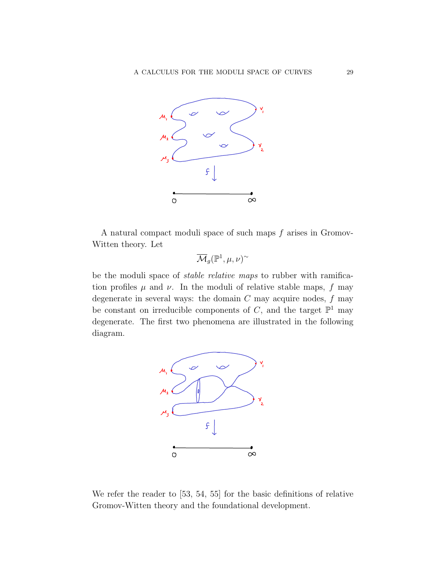

A natural compact moduli space of such maps f arises in Gromov-Witten theory. Let

$$
\overline{\mathcal{M}}_g({\mathbb{P}}^1,\mu,\nu)^\sim
$$

be the moduli space of *stable relative maps* to rubber with ramification profiles  $\mu$  and  $\nu$ . In the moduli of relative stable maps, f may degenerate in several ways: the domain  $C$  may acquire nodes,  $f$  may be constant on irreducible components of C, and the target  $\mathbb{P}^1$  may degenerate. The first two phenomena are illustrated in the following diagram.



We refer the reader to [53, 54, 55] for the basic definitions of relative Gromov-Witten theory and the foundational development.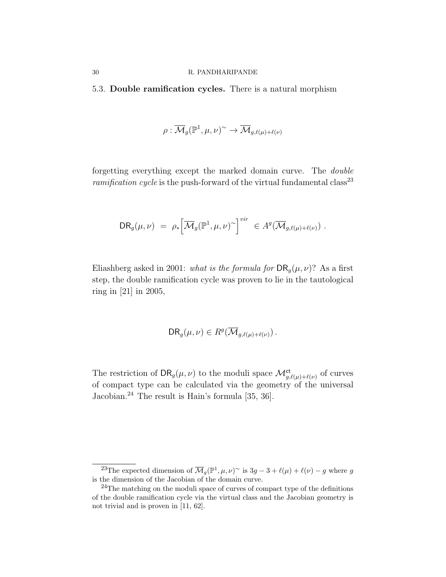5.3. Double ramification cycles. There is a natural morphism

$$
\rho: \overline{\mathcal{M}}_g(\mathbb{P}^1, \mu, \nu)^\sim \to \overline{\mathcal{M}}_{g, \ell(\mu) + \ell(\nu)}
$$

forgetting everything except the marked domain curve. The double *ramification cycle* is the push-forward of the virtual fundamental class<sup>23</sup>

$$
DR_g(\mu,\nu) = \rho_* \Big[\overline{\mathcal{M}}_g(\mathbb{P}^1,\mu,\nu)^\sim\Big]^{vir} \in A^g(\overline{\mathcal{M}}_{g,\ell(\mu)+\ell(\nu)}) .
$$

Eliashberg asked in 2001: what is the formula for  $\text{DR}_q(\mu, \nu)$ ? As a first step, the double ramification cycle was proven to lie in the tautological ring in [21] in 2005,

$$
DR_g(\mu, \nu) \in R^g(\overline{\mathcal{M}}_{g, \ell(\mu) + \ell(\nu)}).
$$

The restriction of  $\text{DR}_g(\mu, \nu)$  to the moduli space  $\mathcal{M}^{\text{ct}}_{g, \ell(\mu) + \ell(\nu)}$  of curves of compact type can be calculated via the geometry of the universal Jacobian.<sup>24</sup> The result is Hain's formula [35, 36].

<sup>&</sup>lt;sup>23</sup>The expected dimension of  $\overline{\mathcal{M}}_g(\mathbb{P}^1, \mu, \nu)$ <sup>~</sup> is  $3g - 3 + \ell(\mu) + \ell(\nu) - g$  where g is the dimension of the Jacobian of the domain curve.

 $^{24}\mathrm{The}$  matching on the moduli space of curves of compact type of the definitions of the double ramification cycle via the virtual class and the Jacobian geometry is not trivial and is proven in [11, 62].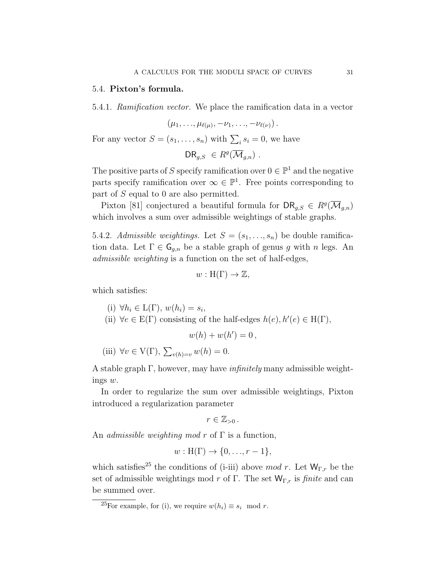## 5.4. Pixton's formula.

5.4.1. Ramification vector. We place the ramification data in a vector

$$
(\mu_1,\ldots,\mu_{\ell(\mu)},-\nu_1,\ldots,-\nu_{\ell(\nu)}).
$$

For any vector  $S = (s_1, \ldots, s_n)$  with  $\sum_i s_i = 0$ , we have

$$
\mathsf{DR}_{g,S} \in R^g(\overline{\mathcal{M}}_{g,n}) \ .
$$

The positive parts of S specify ramification over  $0 \in \mathbb{P}^1$  and the negative parts specify ramification over  $\infty \in \mathbb{P}^1$ . Free points corresponding to part of S equal to 0 are also permitted.

Pixton [81] conjectured a beautiful formula for  $\text{DR}_{g,S} \in R^g(\overline{\mathcal{M}}_{g,n})$ which involves a sum over admissible weightings of stable graphs.

5.4.2. Admissible weightings. Let  $S = (s_1, \ldots, s_n)$  be double ramification data. Let  $\Gamma \in \mathsf{G}_{g,n}$  be a stable graph of genus g with n legs. An admissible weighting is a function on the set of half-edges,

$$
w: H(\Gamma) \to \mathbb{Z},
$$

which satisfies:

(i) 
$$
\forall h_i \in L(\Gamma), w(h_i) = s_i
$$

(ii)  $\forall e \in E(\Gamma)$  consisting of the half-edges  $h(e), h'(e) \in H(\Gamma)$ ,

,

$$
w(h) + w(h') = 0,
$$

(iii) 
$$
\forall v \in V(\Gamma), \sum_{v(h)=v} w(h) = 0.
$$

A stable graph  $\Gamma$ , however, may have *infinitely* many admissible weightings w.

In order to regularize the sum over admissible weightings, Pixton introduced a regularization parameter

$$
r\in\mathbb{Z}_{>0}.
$$

An *admissible weighting mod r* of  $\Gamma$  is a function,

$$
w: H(\Gamma) \to \{0, \ldots, r-1\},\
$$

which satisfies<sup>25</sup> the conditions of (i-iii) above mod r. Let  $W_{\Gamma,r}$  be the set of admissible weightings mod r of Γ. The set  $W_{\Gamma,r}$  is *finite* and can be summed over.

<sup>&</sup>lt;sup>25</sup>For example, for (i), we require  $w(h_i) \equiv s_i \mod r$ .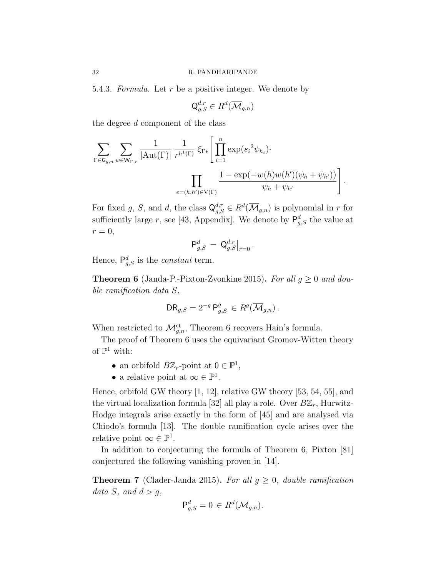5.4.3. Formula. Let  $r$  be a positive integer. We denote by

$$
\mathsf{Q}_{g,S}^{d,r} \in R^d(\overline{\mathcal{M}}_{g,n})
$$

the degree d component of the class

$$
\sum_{\Gamma \in \mathsf{G}_{g,n}} \sum_{w \in \mathsf{W}_{\Gamma,r}} \frac{1}{|\mathrm{Aut}(\Gamma)|} \frac{1}{r^{h^1(\Gamma)}} \, \xi_{\Gamma*} \Bigg[ \prod_{i=1}^n \exp(s_i^2 \psi_{h_i}) \cdot \prod_{e=(h,h') \in \mathrm{V}(\Gamma)} \frac{1 - \exp(-w(h)w(h')(\psi_h + \psi_{h'}))}{\psi_h + \psi_{h'}} \Bigg].
$$

For fixed g, S, and d, the class  $\mathsf{Q}_{g,S}^{d,r} \in R^d(\overline{\mathcal{M}}_{g,n})$  is polynomial in r for sufficiently large r, see [43, Appendix]. We denote by  $P_{g,S}^d$  the value at  $r=0,$ 

$$
\mathsf{P}^d_{g,S} \, = \, \mathsf{Q}^{d,r}_{g,S}\big|_{r=0} \, .
$$

Hence,  $P_{g,S}^d$  is the *constant* term.

**Theorem 6** (Janda-P.-Pixton-Zvonkine 2015). For all  $g \geq 0$  and double ramification data S,

$$
\mathsf{DR}_{g,S} = 2^{-g} \mathsf{P}^g_{g,S} \in R^g(\overline{\mathcal{M}}_{g,n}).
$$

When restricted to  $\mathcal{M}_{g,n}^{\mathrm{ct}}$ , Theorem 6 recovers Hain's formula.

The proof of Theorem 6 uses the equivariant Gromov-Witten theory of  $\mathbb{P}^1$  with:

- an orbifold  $B\mathbb{Z}_r$ -point at  $0 \in \mathbb{P}^1$ ,
- a relative point at  $\infty \in \mathbb{P}^1$ .

Hence, orbifold GW theory [1, 12], relative GW theory [53, 54, 55], and the virtual localization formula [32] all play a role. Over  $B\mathbb{Z}_r$ , Hurwitz-Hodge integrals arise exactly in the form of [45] and are analysed via Chiodo's formula [13]. The double ramification cycle arises over the relative point  $\infty \in \mathbb{P}^1$ .

In addition to conjecturing the formula of Theorem 6, Pixton [81] conjectured the following vanishing proven in [14].

**Theorem 7** (Clader-Janda 2015). For all  $g \geq 0$ , double ramification data S, and  $d > g$ ,

$$
\mathsf{P}_{g,S}^d = 0 \in R^d(\overline{\mathcal{M}}_{g,n}).
$$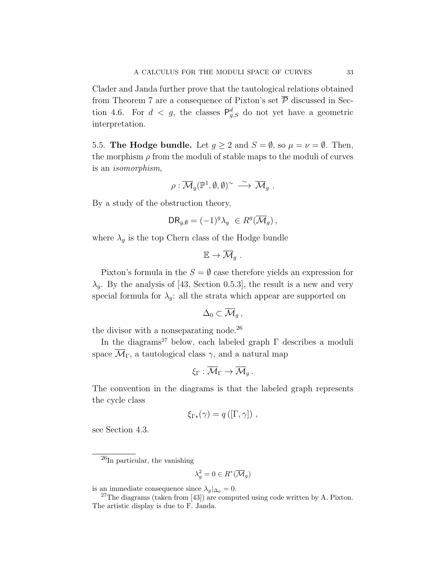Clader and Janda further prove that the tautological relations obtained from Theorem 7 are a consequence of Pixton's set  $\overline{P}$  discussed in Section 4.6. For  $d < g$ , the classes  $\mathsf{P}^d_{g,S}$  do not yet have a geometric interpretation.

5.5. The Hodge bundle. Let  $g \ge 2$  and  $S = \emptyset$ , so  $\mu = \nu = \emptyset$ . Then, the morphism  $\rho$  from the moduli of stable maps to the moduli of curves is an isomorphism,

$$
\rho: \overline{\mathcal{M}}_g(\mathbb{P}^1, \emptyset, \emptyset)^{\sim} \stackrel{\sim}{\longrightarrow} \overline{\mathcal{M}}_g.
$$

By a study of the obstruction theory,

$$
DR_{g,\emptyset} = (-1)^g \lambda_g \ \in R^g(\overline{\mathcal{M}}_g) \,,
$$

where  $\lambda_g$  is the top Chern class of the Hodge bundle

$$
\mathbb{E} \to \overline{\mathcal{M}}_g.
$$

Pixton's formula in the  $S = \emptyset$  case therefore yields an expression for  $\lambda_q$ . By the analysis of [43, Section 0.5.3], the result is a new and very special formula for  $\lambda_q$ : all the strata which appear are supported on

$$
\Delta_0\subset \overline{\mathcal{M}}_g\,,
$$

the divisor with a nonseparating node.<sup>26</sup>

In the diagrams<sup>27</sup> below, each labeled graph  $\Gamma$  describes a moduli space  $\overline{\mathcal{M}}_{\Gamma}$ , a tautological class  $\gamma$ , and a natural map

$$
\xi_\Gamma: \overline{\mathcal{M}}_\Gamma \to \overline{\mathcal{M}}_g\,.
$$

The convention in the diagrams is that the labeled graph represents the cycle class

$$
\xi_{\Gamma*}(\gamma) = q([\Gamma, \gamma]) ,
$$

see Section 4.3.

$$
\lambda_g^2 = 0 \in R^*(\overline{\mathcal{M}}_g)
$$

is an immediate consequence since  $\lambda_g|_{\Delta_0} = 0$ .

<sup>26</sup>In particular, the vanishing

 $27$ The diagrams (taken from [43]) are computed using code written by A. Pixton. The artistic display is due to F. Janda.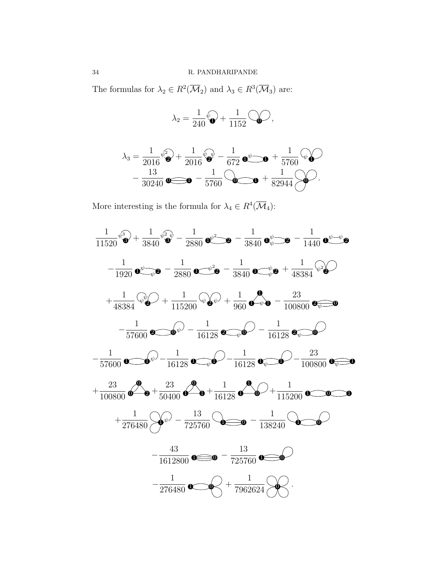The formulas for  $\lambda_2 \in R^2(\overline{\mathcal{M}}_2)$  and  $\lambda_3 \in R^3(\overline{\mathcal{M}}_3)$  are:

$$
\lambda_2 = \frac{1}{240}\widehat{\mathbf{v}}_0 + \frac{1}{1152}\widehat{\mathbf{v}}_0,
$$

$$
\lambda_3 = \frac{1}{2016} \sqrt[6]{2} + \frac{1}{2016} \sqrt[6]{2} - \frac{1}{672} \sqrt[6]{2} + \frac{1}{5760} \sqrt[6]{2} - \frac{13}{30240} \sqrt[6]{2} - \frac{1}{5760} \sqrt[6]{2} - \frac{1}{5760} \sqrt[6]{2} - \frac{1}{5760} \sqrt[6]{2} - \frac{1}{5760} \sqrt[6]{2} - \frac{1}{5760} \sqrt[6]{2} - \frac{1}{5760} \sqrt[6]{2} - \frac{1}{5760} \sqrt[6]{2} - \frac{1}{5760} \sqrt[6]{2} - \frac{1}{5760} \sqrt[6]{2} - \frac{1}{5760} \sqrt[6]{2} - \frac{1}{5760} \sqrt[6]{2} - \frac{1}{5760} \sqrt[6]{2} - \frac{1}{5760} \sqrt[6]{2} - \frac{1}{5760} \sqrt[6]{2} - \frac{1}{5760} \sqrt[6]{2} - \frac{1}{5760} \sqrt[6]{2} - \frac{1}{5760} \sqrt[6]{2} - \frac{1}{5760} \sqrt[6]{2} - \frac{1}{5760} \sqrt[6]{2} - \frac{1}{5760} \sqrt[6]{2} - \frac{1}{5760} \sqrt[6]{2} - \frac{1}{5760} \sqrt[6]{2} - \frac{1}{5760} \sqrt[6]{2} - \frac{1}{5760} \sqrt[6]{2} - \frac{1}{5760} \sqrt[6]{2} - \frac{1}{5760} \sqrt[6]{2} - \frac{1}{5760} \sqrt[6]{2} - \frac{1}{5760} \sqrt[6]{2} - \frac{1}{5760} \sqrt[6]{2} - \frac{1}{5760} \sqrt[6]{2} - \frac{1}{5760} \sqrt[6]{2} - \frac{1}{5760} \sqrt[6]{2} - \frac{1}{5760} \sqrt[6]{2} - \frac{1}{5760} \sqrt[6]{2} - \frac{1}{5760} \sqrt[6]{2} - \frac{1}{5760} \sqrt[6]{2} - \frac{1}{5760} \sqrt[6]{2
$$

More interesting is the formula for  $\lambda_4 \in R^4(\overline{\mathcal{M}}_4)$ :

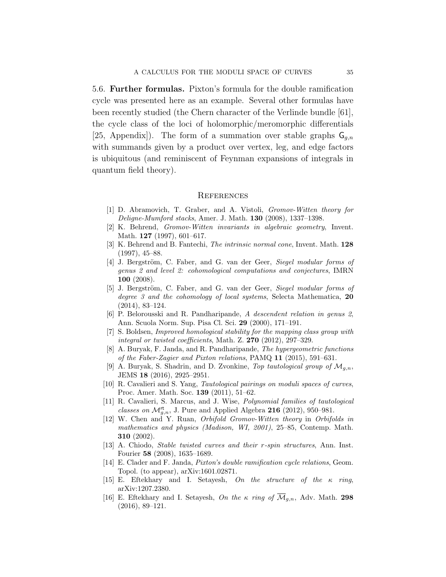5.6. Further formulas. Pixton's formula for the double ramification cycle was presented here as an example. Several other formulas have been recently studied (the Chern character of the Verlinde bundle [61], the cycle class of the loci of holomorphic/meromorphic differentials [25, Appendix]). The form of a summation over stable graphs  $\mathsf{G}_{q,n}$ with summands given by a product over vertex, leg, and edge factors is ubiquitous (and reminiscent of Feynman expansions of integrals in quantum field theory).

#### **REFERENCES**

- [1] D. Abramovich, T. Graber, and A. Vistoli, Gromov-Witten theory for Deligne-Mumford stacks, Amer. J. Math. 130 (2008), 1337–1398.
- [2] K. Behrend, Gromov-Witten invariants in algebraic geometry, Invent. Math. 127 (1997), 601–617.
- [3] K. Behrend and B. Fantechi, The intrinsic normal cone, Invent. Math. 128 (1997), 45–88.
- [4] J. Bergström, C. Faber, and G. van der Geer, Siegel modular forms of genus 2 and level 2: cohomological computations and conjectures, IMRN 100 (2008).
- [5] J. Bergström, C. Faber, and G. van der Geer, Siegel modular forms of degree 3 and the cohomology of local systems, Selecta Mathematica, 20 (2014), 83–124.
- [6] P. Belorousski and R. Pandharipande, A descendent relation in genus 2, Ann. Scuola Norm. Sup. Pisa Cl. Sci. 29 (2000), 171–191.
- [7] S. Boldsen, Improved homological stability for the mapping class group with integral or twisted coefficients, Math. Z. 270 (2012), 297–329.
- [8] A. Buryak, F. Janda, and R. Pandharipande, The hypergeometric functions of the Faber-Zagier and Pixton relations, PAMQ 11 (2015), 591–631.
- [9] A. Buryak, S. Shadrin, and D. Zvonkine, Top tautological group of  $\mathcal{M}_{q,n}$ , JEMS 18 (2016), 2925–2951.
- [10] R. Cavalieri and S. Yang, *Tautological pairings on moduli spaces of curves*, Proc. Amer. Math. Soc. 139 (2011), 51–62.
- [11] R. Cavalieri, S. Marcus, and J. Wise, Polynomial families of tautological classes on  $\mathcal{M}_{g,n}^{\text{rt}}$ , J. Pure and Applied Algebra 216 (2012), 950–981.
- [12] W. Chen and Y. Ruan, Orbifold Gromov-Witten theory in Orbifolds in mathematics and physics (Madison, WI, 2001), 25–85, Contemp. Math. 310 (2002).
- [13] A. Chiodo, Stable twisted curves and their r-spin structures, Ann. Inst. Fourier 58 (2008), 1635–1689.
- [14] E. Clader and F. Janda, Pixton's double ramification cycle relations, Geom. Topol. (to appear), arXiv:1601.02871.
- [15] E. Eftekhary and I. Setayesh, On the structure of the  $\kappa$  ring, arXiv:1207.2380.
- [16] E. Eftekhary and I. Setayesh, On the  $\kappa$  ring of  $\overline{\mathcal{M}}_{q,n}$ , Adv. Math. 298 (2016), 89–121.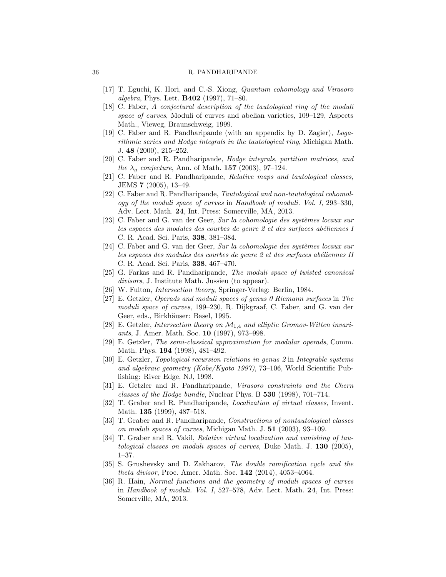- [17] T. Eguchi, K. Hori, and C.-S. Xiong, *Quantum cohomology and Virasoro* algebra, Phys. Lett. B402 (1997), 71–80.
- [18] C. Faber, A conjectural description of the tautological ring of the moduli space of curves, Moduli of curves and abelian varieties, 109–129, Aspects Math., Vieweg, Braunschweig, 1999.
- [19] C. Faber and R. Pandharipande (with an appendix by D. Zagier), Logarithmic series and Hodge integrals in the tautological ring, Michigan Math. J. 48 (2000), 215–252.
- [20] C. Faber and R. Pandharipande, Hodge integrals, partition matrices, and the  $\lambda_q$  conjecture, Ann. of Math. 157 (2003), 97–124.
- [21] C. Faber and R. Pandharipande, Relative maps and tautological classes, JEMS 7 (2005), 13–49.
- [22] C. Faber and R. Pandharipande, Tautological and non-tautological cohomology of the moduli space of curves in Handbook of moduli. Vol. I, 293–330, Adv. Lect. Math. 24, Int. Press: Somerville, MA, 2013.
- [23] C. Faber and G. van der Geer, Sur la cohomologie des systèmes locaux sur les espaces des modules des courbes de genre 2 et des surfaces abéliennes I C. R. Acad. Sci. Paris, 338, 381–384.
- [24] C. Faber and G. van der Geer, Sur la cohomologie des systèmes locaux sur les espaces des modules des courbes de genre  $2$  et des surfaces abéliennes II C. R. Acad. Sci. Paris, 338, 467–470.
- [25] G. Farkas and R. Pandharipande, The moduli space of twisted canonical divisors, J. Institute Math. Jussieu (to appear).
- [26] W. Fulton, *Intersection theory*, Springer-Verlag: Berlin, 1984.
- [27] E. Getzler, Operads and moduli spaces of genus 0 Riemann surfaces in The moduli space of curves, 199–230, R. Dijkgraaf, C. Faber, and G. van der Geer, eds., Birkhäuser: Basel, 1995.
- [28] E. Getzler, Intersection theory on  $\overline{\mathcal{M}}_{1,4}$  and elliptic Gromov-Witten invariants, J. Amer. Math. Soc. 10 (1997), 973–998.
- [29] E. Getzler, The semi-classical approximation for modular operads, Comm. Math. Phys. 194 (1998), 481–492.
- [30] E. Getzler, Topological recursion relations in genus 2 in Integrable systems and algebraic geometry (Kobe/Kyoto 1997), 73–106, World Scientific Publishing: River Edge, NJ, 1998.
- [31] E. Getzler and R. Pandharipande, Virasoro constraints and the Chern classes of the Hodge bundle, Nuclear Phys. B 530 (1998), 701–714.
- [32] T. Graber and R. Pandharipande, Localization of virtual classes, Invent. Math. **135** (1999), 487-518.
- [33] T. Graber and R. Pandharipande, Constructions of nontautological classes on moduli spaces of curves, Michigan Math. J. 51 (2003), 93–109.
- [34] T. Graber and R. Vakil, Relative virtual localization and vanishing of tautological classes on moduli spaces of curves, Duke Math. J. 130 (2005), 1–37.
- [35] S. Grushevsky and D. Zakharov, The double ramification cycle and the theta divisor, Proc. Amer. Math. Soc. 142 (2014), 4053–4064.
- [36] R. Hain, Normal functions and the geometry of moduli spaces of curves in Handbook of moduli. Vol. I, 527–578, Adv. Lect. Math. 24, Int. Press: Somerville, MA, 2013.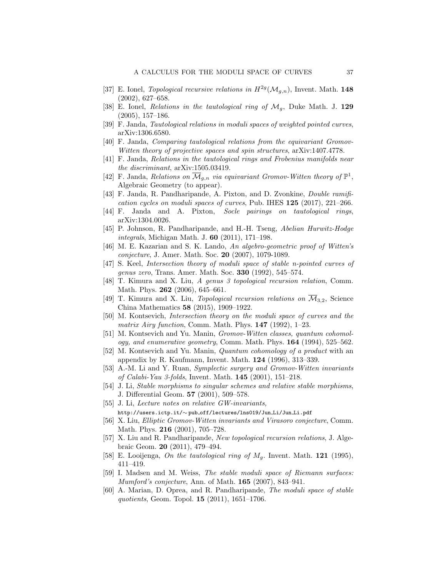- [37] E. Ionel, Topological recursive relations in  $H^{2g}(\mathcal{M}_{g,n})$ , Invent. Math. 148 (2002), 627–658.
- [38] E. Ionel, Relations in the tautological ring of  $\mathcal{M}_q$ , Duke Math. J. 129 (2005), 157–186.
- [39] F. Janda, Tautological relations in moduli spaces of weighted pointed curves, arXiv:1306.6580.
- [40] F. Janda, Comparing tautological relations from the equivariant Gromov-Witten theory of projective spaces and spin structures, arXiv:1407.4778.
- [41] F. Janda, Relations in the tautological rings and Frobenius manifolds near the discriminant, arXiv:1505.03419.
- [42] F. Janda, Relations on  $\overline{\mathcal{M}}_{g,n}$  via equivariant Gromov-Witten theory of  $\mathbb{P}^1$ , Algebraic Geometry (to appear).
- [43] F. Janda, R. Pandharipande, A. Pixton, and D. Zvonkine, Double ramification cycles on moduli spaces of curves, Pub. IHES 125 (2017), 221–266.
- [44] F. Janda and A. Pixton, Socle pairings on tautological rings, arXiv:1304.0026.
- [45] P. Johnson, R. Pandharipande, and H.-H. Tseng, Abelian Hurwitz-Hodge integrals, Michigan Math. J. 60 (2011), 171–198.
- [46] M. E. Kazarian and S. K. Lando, An algebro-geometric proof of Witten's conjecture, J. Amer. Math. Soc. 20 (2007), 1079-1089.
- [47] S. Keel, Intersection theory of moduli space of stable n-pointed curves of genus zero, Trans. Amer. Math. Soc. 330 (1992), 545–574.
- [48] T. Kimura and X. Liu, A genus 3 topological recursion relation, Comm. Math. Phys. **262** (2006), 645–661.
- [49] T. Kimura and X. Liu, Topological recursion relations on  $\overline{\mathcal{M}}_{3,2}$ , Science China Mathematics 58 (2015), 1909–1922.
- [50] M. Kontsevich, Intersection theory on the moduli space of curves and the matrix Airy function, Comm. Math. Phys.  $147$  (1992), 1–23.
- [51] M. Kontsevich and Yu. Manin, Gromov-Witten classes, quantum cohomology, and enumerative geometry, Comm. Math. Phys.  $164$  (1994), 525–562.
- [52] M. Kontsevich and Yu. Manin, Quantum cohomology of a product with an appendix by R. Kaufmann, Invent. Math. 124 (1996), 313–339.
- [53] A.-M. Li and Y. Ruan, Symplectic surgery and Gromov-Witten invariants of Calabi-Yau 3-folds, Invent. Math. 145 (2001), 151–218.
- [54] J. Li, Stable morphisms to singular schemes and relative stable morphisms, J. Differential Geom. 57 (2001), 509–578.
- [55] J. Li, Lecture notes on relative GW-invariants, http://users.ictp.it/∼ pub off/lectures/lns019/Jun Li/Jun Li.pdf
- [56] X. Liu, Elliptic Gromov-Witten invariants and Virasoro conjecture, Comm. Math. Phys. 216 (2001), 705–728.
- [57] X. Liu and R. Pandharipande, New topological recursion relations, J. Algebraic Geom. 20 (2011), 479–494.
- [58] E. Looijenga, On the tautological ring of  $M<sub>g</sub>$ . Invent. Math. **121** (1995), 411–419.
- [59] I. Madsen and M. Weiss, The stable moduli space of Riemann surfaces: Mumford's conjecture, Ann. of Math. 165 (2007), 843–941.
- [60] A. Marian, D. Oprea, and R. Pandharipande, The moduli space of stable quotients, Geom. Topol. 15 (2011), 1651–1706.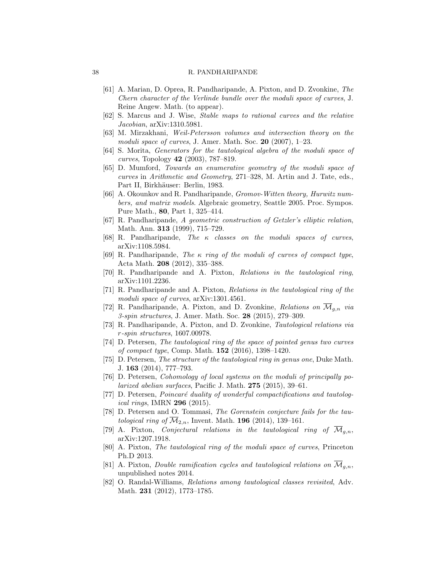- [61] A. Marian, D. Oprea, R. Pandharipande, A. Pixton, and D. Zvonkine, The Chern character of the Verlinde bundle over the moduli space of curves, J. Reine Angew. Math. (to appear).
- [62] S. Marcus and J. Wise, Stable maps to rational curves and the relative Jacobian, arXiv:1310.5981.
- [63] M. Mirzakhani, Weil-Petersson volumes and intersection theory on the moduli space of curves, J. Amer. Math. Soc.  $20$  (2007), 1–23.
- [64] S. Morita, Generators for the tautological algebra of the moduli space of curves, Topology 42 (2003), 787–819.
- [65] D. Mumford, Towards an enumerative geometry of the moduli space of curves in Arithmetic and Geometry, 271–328, M. Artin and J. Tate, eds., Part II, Birkhäuser: Berlin, 1983.
- [66] A. Okounkov and R. Pandharipande, Gromov-Witten theory, Hurwitz numbers, and matrix models. Algebraic geometry, Seattle 2005. Proc. Sympos. Pure Math., 80, Part 1, 325–414.
- [67] R. Pandharipande, A geometric construction of Getzler's elliptic relation, Math. Ann. 313 (1999), 715–729.
- [68] R. Pandharipande, The  $\kappa$  classes on the moduli spaces of curves, arXiv:1108.5984.
- [69] R. Pandharipande, The  $\kappa$  ring of the moduli of curves of compact type, Acta Math. 208 (2012), 335–388.
- [70] R. Pandharipande and A. Pixton, Relations in the tautological ring, arXiv:1101.2236.
- [71] R. Pandharipande and A. Pixton, Relations in the tautological ring of the moduli space of curves,  $arXiv:1301.4561$ .
- [72] R. Pandharipande, A. Pixton, and D. Zvonkine, Relations on  $\overline{\mathcal{M}}_{a,n}$  via 3-spin structures, J. Amer. Math. Soc. 28 (2015), 279–309.
- [73] R. Pandharipande, A. Pixton, and D. Zvonkine, Tautological relations via r-spin structures, 1607.00978.
- [74] D. Petersen, The tautological ring of the space of pointed genus two curves of compact type, Comp. Math. 152 (2016), 1398–1420.
- [75] D. Petersen, The structure of the tautological ring in genus one, Duke Math. J. 163 (2014), 777–793.
- [76] D. Petersen, Cohomology of local systems on the moduli of principally polarized abelian surfaces, Pacific J. Math. 275 (2015), 39–61.
- [77] D. Petersen, *Poincaré duality of wonderful compactifications and tautolog*ical rings, IMRN 296 (2015).
- [78] D. Petersen and O. Tommasi, The Gorenstein conjecture fails for the tautological ring of  $\overline{\mathcal{M}}_{2,n}$ , Invent. Math. 196 (2014), 139-161.
- [79] A. Pixton, *Conjectural relations in the tautological ring of*  $\overline{\mathcal{M}}_{q,n}$ , arXiv:1207.1918.
- [80] A. Pixton, The tautological ring of the moduli space of curves, Princeton Ph.D 2013.
- [81] A. Pixton, *Double ramification cycles and tautological relations on*  $\overline{\mathcal{M}}_{q,n}$ , unpublished notes 2014.
- [82] O. Randal-Williams, Relations among tautological classes revisited, Adv. Math. 231 (2012), 1773–1785.